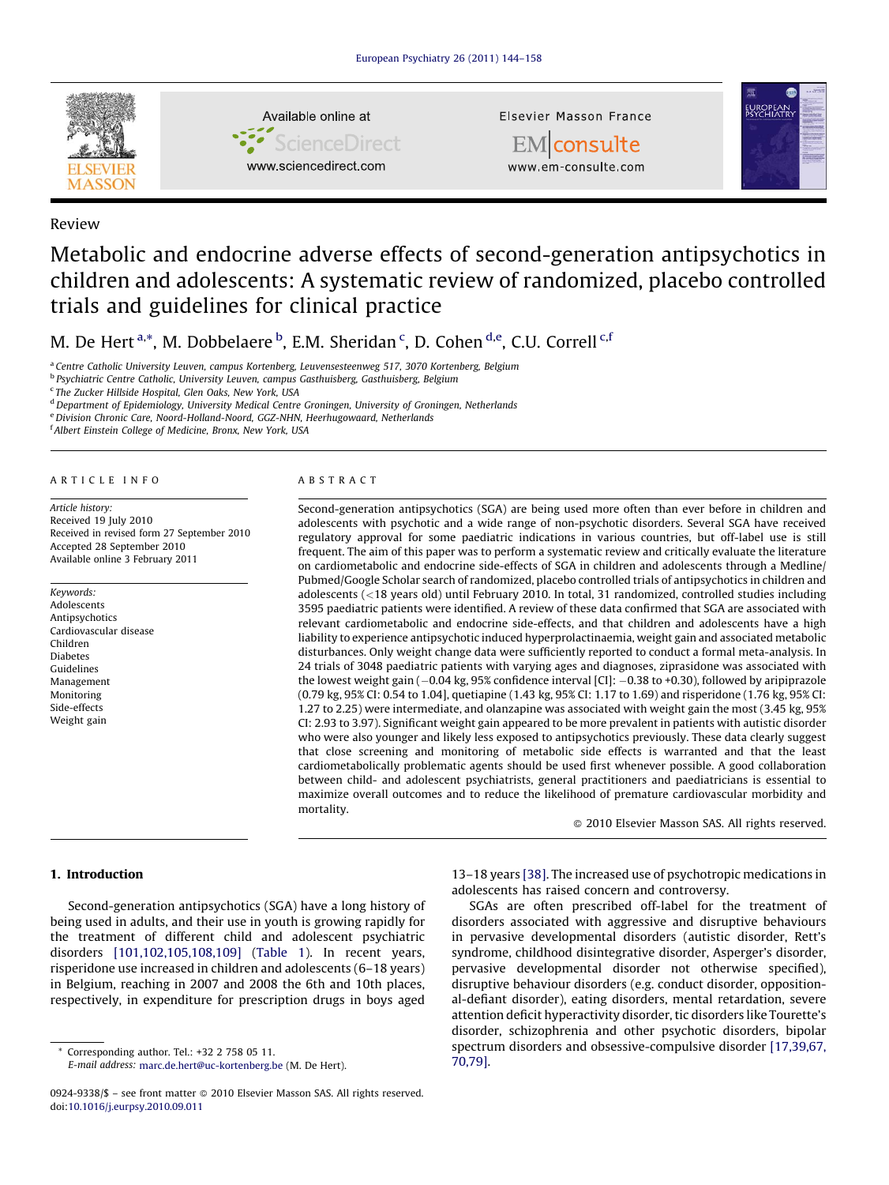

Available online at ScienceDirect www.sciencedirect.com

Elsevier Masson France **EM** consulte

www.em-consulte.com



Review

# Metabolic and endocrine adverse effects of second-generation antipsychotics in children and adolescents: A systematic review of randomized, placebo controlled trials and guidelines for clinical practice

M. De Hert <sup>a,\*</sup>, M. Dobbelaere <sup>b</sup>, E.M. Sheridan <sup>c</sup>, D. Cohen <sup>d,e</sup>, C.U. Correll <sup>c,f</sup>

<sup>a</sup> Centre Catholic University Leuven, campus Kortenberg, Leuvensesteenweg 517, 3070 Kortenberg, Belgium

<sup>b</sup> Psychiatric Centre Catholic, University Leuven, campus Gasthuisberg, Gasthuisberg, Belgium

<sup>c</sup> The Zucker Hillside Hospital, Glen Oaks, New York, USA

<sup>d</sup> Department of Epidemiology, University Medical Centre Groningen, University of Groningen, Netherlands

e Division Chronic Care, Noord-Holland-Noord, GGZ-NHN, Heerhugowaard, Netherlands

f Albert Einstein College of Medicine, Bronx, New York, USA

#### ARTICLE INFO

Article history: Received 19 July 2010 Received in revised form 27 September 2010 Accepted 28 September 2010 Available online 3 February 2011

Keywords: Adolescents Antipsychotics Cardiovascular disease Children Diabetes Guidelines Management Monitoring Side-effects Weight gain

#### ABSTRACT

Second-generation antipsychotics (SGA) are being used more often than ever before in children and adolescents with psychotic and a wide range of non-psychotic disorders. Several SGA have received regulatory approval for some paediatric indications in various countries, but off-label use is still frequent. The aim of this paper was to perform a systematic review and critically evaluate the literature on cardiometabolic and endocrine side-effects of SGA in children and adolescents through a Medline/ Pubmed/Google Scholar search of randomized, placebo controlled trials of antipsychotics in children and adolescents (<18 years old) until February 2010. In total, 31 randomized, controlled studies including 3595 paediatric patients were identified. A review of these data confirmed that SGA are associated with relevant cardiometabolic and endocrine side-effects, and that children and adolescents have a high liability to experience antipsychotic induced hyperprolactinaemia, weight gain and associated metabolic disturbances. Only weight change data were sufficiently reported to conduct a formal meta-analysis. In 24 trials of 3048 paediatric patients with varying ages and diagnoses, ziprasidone was associated with the lowest weight gain (–0.04 kg, 95% confidence interval [CI]: –0.38 to +0.30), followed by aripiprazole (0.79 kg, 95% CI: 0.54 to 1.04], quetiapine (1.43 kg, 95% CI: 1.17 to 1.69) and risperidone (1.76 kg, 95% CI: 1.27 to 2.25) were intermediate, and olanzapine was associated with weight gain the most (3.45 kg, 95% CI: 2.93 to 3.97). Significant weight gain appeared to be more prevalent in patients with autistic disorder who were also younger and likely less exposed to antipsychotics previously. These data clearly suggest that close screening and monitoring of metabolic side effects is warranted and that the least cardiometabolically problematic agents should be used first whenever possible. A good collaboration between child- and adolescent psychiatrists, general practitioners and paediatricians is essential to maximize overall outcomes and to reduce the likelihood of premature cardiovascular morbidity and mortality.

 $\odot$  2010 Elsevier Masson SAS. All rights reserved.

# 1. Introduction

Second-generation antipsychotics (SGA) have a long history of being used in adults, and their use in youth is growing rapidly for the treatment of different child and adolescent psychiatric disorders [\[101,102,105,108,109\]](#page-14-0) [\(Table 1\)](#page-1-0). In recent years, risperidone use increased in children and adolescents (6–18 years) in Belgium, reaching in 2007 and 2008 the 6th and 10th places, respectively, in expenditure for prescription drugs in boys aged

Corresponding author. Tel.: +32 2 758 05 11.

E-mail address: [marc.de.hert@uc-kortenberg.be](mailto:marc.de.hert@uc-kortenberg.be) (M. De Hert).

13–18 years [\[38\]](#page-12-0). The increased use of psychotropic medications in adolescents has raised concern and controversy.

SGAs are often prescribed off-label for the treatment of disorders associated with aggressive and disruptive behaviours in pervasive developmental disorders (autistic disorder, Rett's syndrome, childhood disintegrative disorder, Asperger's disorder, pervasive developmental disorder not otherwise specified), disruptive behaviour disorders (e.g. conduct disorder, oppositional-defiant disorder), eating disorders, mental retardation, severe attention deficit hyperactivity disorder, tic disorders like Tourette's disorder, schizophrenia and other psychotic disorders, bipolar spectrum disorders and obsessive-compulsive disorder [\[17,39,67,](#page-12-0) [70,79\].](#page-12-0)

<sup>0924-9338/\$ –</sup> see front matter © 2010 Elsevier Masson SAS. All rights reserved. doi:[10.1016/j.eurpsy.2010.09.011](http://dx.doi.org/10.1016/j.eurpsy.2010.09.011)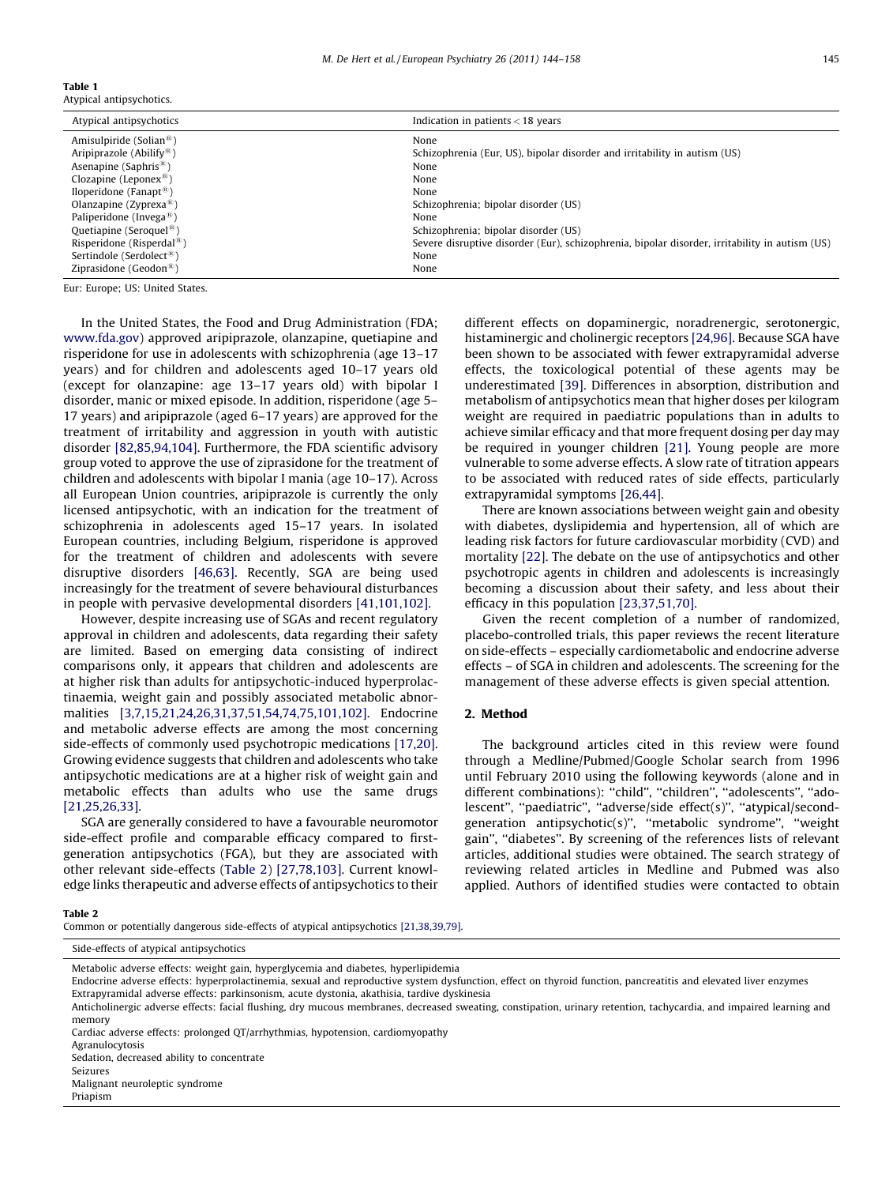<span id="page-1-0"></span>Table 1 Atypical antipsychotics.

| Atypical antipsychotics                                     | Indication in patients $<$ 18 years                                                            |
|-------------------------------------------------------------|------------------------------------------------------------------------------------------------|
| Amisulpiride (Solian <sup>®</sup> )                         | None                                                                                           |
| Aripiprazole (Abilify <sup><math>\mathbb{E}</math>)</sup>   | Schizophrenia (Eur, US), bipolar disorder and irritability in autism (US)                      |
| Asenapine (Saphris $\mathbb{R}$ )                           | None                                                                                           |
| Clozapine (Leponex <sup>®</sup> )                           | None                                                                                           |
| Iloperidone (Fanapt <sup>®</sup> )                          | None                                                                                           |
| Olanzapine (Zyprexa $\mathbb{B}$ )                          | Schizophrenia; bipolar disorder (US)                                                           |
| Paliperidone (Invega $\mathbb{E}$ )                         | None                                                                                           |
| Quetiapine (Seroquel <sup>®</sup> )                         | Schizophrenia; bipolar disorder (US)                                                           |
| Risperidone (Risperdal <sup><math>\mathbf{E}</math></sup> ) | Severe disruptive disorder (Eur), schizophrenia, bipolar disorder, irritability in autism (US) |
| Sertindole (Serdolect <sup>®</sup> )                        | None                                                                                           |
| Ziprasidone (Geodon <sup>®</sup> )                          | None                                                                                           |
|                                                             |                                                                                                |

Eur: Europe; US: United States.

In the United States, the Food and Drug Administration (FDA; [www.fda.gov](http://www.fda.gov/)) approved aripiprazole, olanzapine, quetiapine and risperidone for use in adolescents with schizophrenia (age 13–17 years) and for children and adolescents aged 10–17 years old (except for olanzapine: age 13–17 years old) with bipolar I disorder, manic or mixed episode. In addition, risperidone (age 5– 17 years) and aripiprazole (aged 6–17 years) are approved for the treatment of irritability and aggression in youth with autistic disorder [\[82,85,94,104\]](#page-13-0). Furthermore, the FDA scientific advisory group voted to approve the use of ziprasidone for the treatment of children and adolescents with bipolar I mania (age 10–17). Across all European Union countries, aripiprazole is currently the only licensed antipsychotic, with an indication for the treatment of schizophrenia in adolescents aged 15–17 years. In isolated European countries, including Belgium, risperidone is approved for the treatment of children and adolescents with severe disruptive disorders [\[46,63\]](#page-13-0). Recently, SGA are being used increasingly for the treatment of severe behavioural disturbances in people with pervasive developmental disorders [\[41,101,102\].](#page-12-0)

However, despite increasing use of SGAs and recent regulatory approval in children and adolescents, data regarding their safety are limited. Based on emerging data consisting of indirect comparisons only, it appears that children and adolescents are at higher risk than adults for antipsychotic-induced hyperprolactinaemia, weight gain and possibly associated metabolic abnormalities [\[3,7,15,21,24,26,31,37,51,54,74,75,101,102\]](#page-12-0). Endocrine and metabolic adverse effects are among the most concerning side-effects of commonly used psychotropic medications [\[17,20\].](#page-12-0) Growing evidence suggests that children and adolescents who take antipsychotic medications are at a higher risk of weight gain and metabolic effects than adults who use the same drugs [\[21,25,26,33\].](#page-12-0)

SGA are generally considered to have a favourable neuromotor side-effect profile and comparable efficacy compared to firstgeneration antipsychotics (FGA), but they are associated with other relevant side-effects (Table 2) [\[27,78,103\].](#page-12-0) Current knowledge links therapeutic and adverse effects of antipsychotics to their different effects on dopaminergic, noradrenergic, serotonergic, histaminergic and cholinergic receptors [\[24,96\].](#page-12-0) Because SGA have been shown to be associated with fewer extrapyramidal adverse effects, the toxicological potential of these agents may be underestimated [\[39\]](#page-12-0). Differences in absorption, distribution and metabolism of antipsychotics mean that higher doses per kilogram weight are required in paediatric populations than in adults to achieve similar efficacy and that more frequent dosing per day may be required in younger children [\[21\]](#page-12-0). Young people are more vulnerable to some adverse effects. A slow rate of titration appears to be associated with reduced rates of side effects, particularly extrapyramidal symptoms [\[26,44\].](#page-12-0)

There are known associations between weight gain and obesity with diabetes, dyslipidemia and hypertension, all of which are leading risk factors for future cardiovascular morbidity (CVD) and mortality [\[22\].](#page-12-0) The debate on the use of antipsychotics and other psychotropic agents in children and adolescents is increasingly becoming a discussion about their safety, and less about their efficacy in this population [\[23,37,51,70\]](#page-12-0).

Given the recent completion of a number of randomized, placebo-controlled trials, this paper reviews the recent literature on side-effects – especially cardiometabolic and endocrine adverse effects – of SGA in children and adolescents. The screening for the management of these adverse effects is given special attention.

## 2. Method

The background articles cited in this review were found through a Medline/Pubmed/Google Scholar search from 1996 until February 2010 using the following keywords (alone and in different combinations): ''child'', ''children'', ''adolescents'', ''adolescent'', ''paediatric'', ''adverse/side effect(s)'', ''atypical/secondgeneration antipsychotic(s)'', ''metabolic syndrome'', ''weight gain'', ''diabetes''. By screening of the references lists of relevant articles, additional studies were obtained. The search strategy of reviewing related articles in Medline and Pubmed was also applied. Authors of identified studies were contacted to obtain

#### Table 2

Common or potentially dangerous side-effects of atypical antipsychotics [\[21,38,39,79\].](#page-12-0)

Side-effects of atypical antipsychotics

Metabolic adverse effects: weight gain, hyperglycemia and diabetes, hyperlipidemia

Endocrine adverse effects: hyperprolactinemia, sexual and reproductive system dysfunction, effect on thyroid function, pancreatitis and elevated liver enzymes

Extrapyramidal adverse effects: parkinsonism, acute dystonia, akathisia, tardive dyskinesia

Anticholinergic adverse effects: facial flushing, dry mucous membranes, decreased sweating, constipation, urinary retention, tachycardia, and impaired learning and memory

Cardiac adverse effects: prolonged QT/arrhythmias, hypotension, cardiomyopathy

Agranulocytosis

Sedation, decreased ability to concentrate

Seizures

Malignant neuroleptic syndrome

Priapism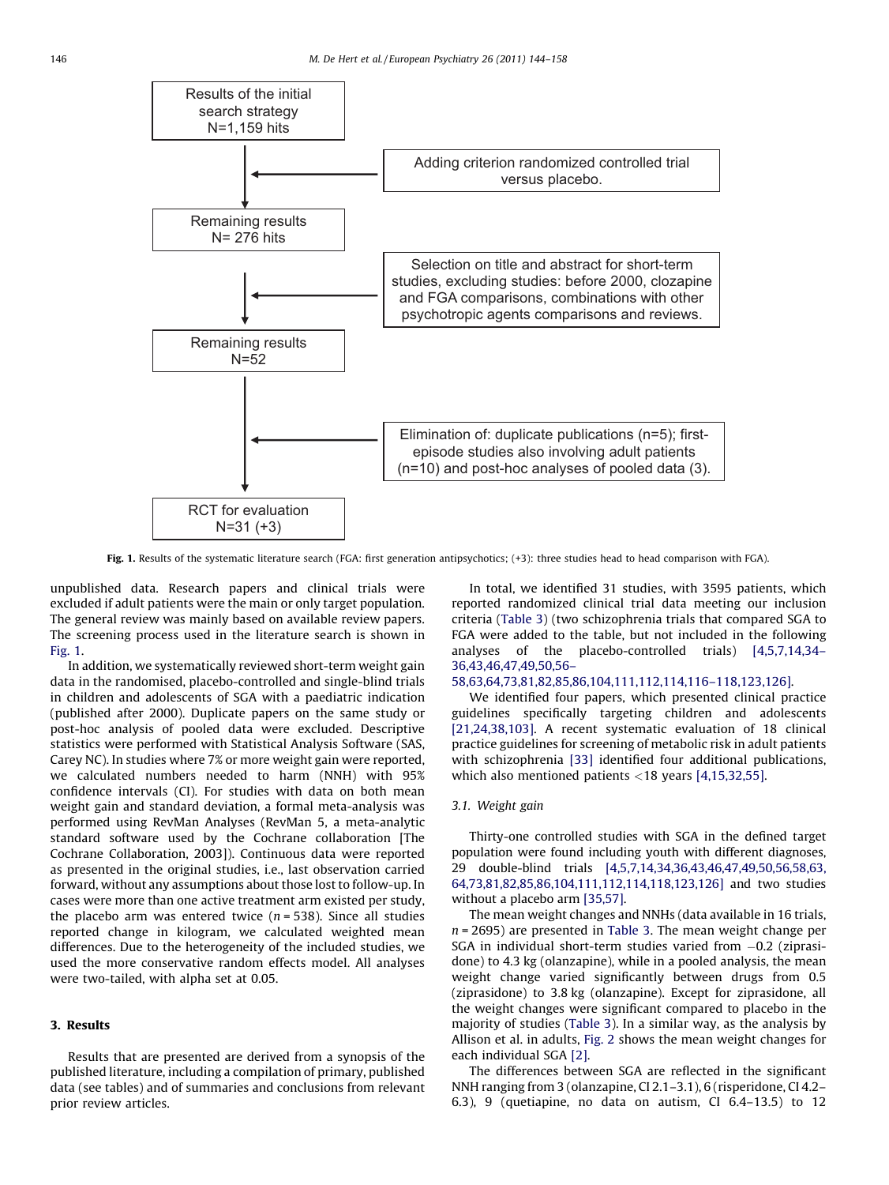

Fig. 1. Results of the systematic literature search (FGA: first generation antipsychotics; (+3): three studies head to head comparison with FGA).

unpublished data. Research papers and clinical trials were excluded if adult patients were the main or only target population. The general review was mainly based on available review papers. The screening process used in the literature search is shown in Fig. 1.

In addition, we systematically reviewed short-term weight gain data in the randomised, placebo-controlled and single-blind trials in children and adolescents of SGA with a paediatric indication (published after 2000). Duplicate papers on the same study or post-hoc analysis of pooled data were excluded. Descriptive statistics were performed with Statistical Analysis Software (SAS, Carey NC). In studies where 7% or more weight gain were reported, we calculated numbers needed to harm (NNH) with 95% confidence intervals (CI). For studies with data on both mean weight gain and standard deviation, a formal meta-analysis was performed using RevMan Analyses (RevMan 5, a meta-analytic standard software used by the Cochrane collaboration [The Cochrane Collaboration, 2003]). Continuous data were reported as presented in the original studies, i.e., last observation carried forward, without any assumptions about those lost to follow-up. In cases were more than one active treatment arm existed per study, the placebo arm was entered twice  $(n = 538)$ . Since all studies reported change in kilogram, we calculated weighted mean differences. Due to the heterogeneity of the included studies, we used the more conservative random effects model. All analyses were two-tailed, with alpha set at 0.05.

# 3. Results

Results that are presented are derived from a synopsis of the published literature, including a compilation of primary, published data (see tables) and of summaries and conclusions from relevant prior review articles.

In total, we identified 31 studies, with 3595 patients, which reported randomized clinical trial data meeting our inclusion criteria ([Table 3](#page-3-0)) (two schizophrenia trials that compared SGA to FGA were added to the table, but not included in the following analyses of the placebo-controlled trials) [\[4,5,7,14,34–](#page-12-0) [36,43,46,47,49,50,56–](#page-12-0)

## [58,63,64,73,81,82,85,86,104,111,112,114,116–118,123,126\]](#page-12-0).

We identified four papers, which presented clinical practice guidelines specifically targeting children and adolescents [\[21,24,38,103\].](#page-12-0) A recent systematic evaluation of 18 clinical practice guidelines for screening of metabolic risk in adult patients with schizophrenia [\[33\]](#page-12-0) identified four additional publications, which also mentioned patients <18 years [\[4,15,32,55\]](#page-12-0).

## 3.1. Weight gain

Thirty-one controlled studies with SGA in the defined target population were found including youth with different diagnoses, 29 double-blind trials [\[4,5,7,14,34,36,43,46,47,49,50,56,58,63,](#page-12-0) [64,73,81,82,85,86,104,111,112,114,118,123,126\]](#page-12-0) and two studies without a placebo arm [\[35,57\].](#page-12-0)

The mean weight changes and NNHs (data available in 16 trials,  $n = 2695$ ) are presented in [Table 3.](#page-3-0) The mean weight change per SGA in individual short-term studies varied from  $-0.2$  (ziprasidone) to 4.3 kg (olanzapine), while in a pooled analysis, the mean weight change varied significantly between drugs from 0.5 (ziprasidone) to 3.8 kg (olanzapine). Except for ziprasidone, all the weight changes were significant compared to placebo in the majority of studies [\(Table 3\)](#page-3-0). In a similar way, as the analysis by Allison et al. in adults, [Fig. 2](#page-5-0) shows the mean weight changes for each individual SGA [\[2\].](#page-12-0)

The differences between SGA are reflected in the significant NNH ranging from 3 (olanzapine, CI 2.1–3.1), 6 (risperidone, CI 4.2– 6.3), 9 (quetiapine, no data on autism, CI 6.4–13.5) to 12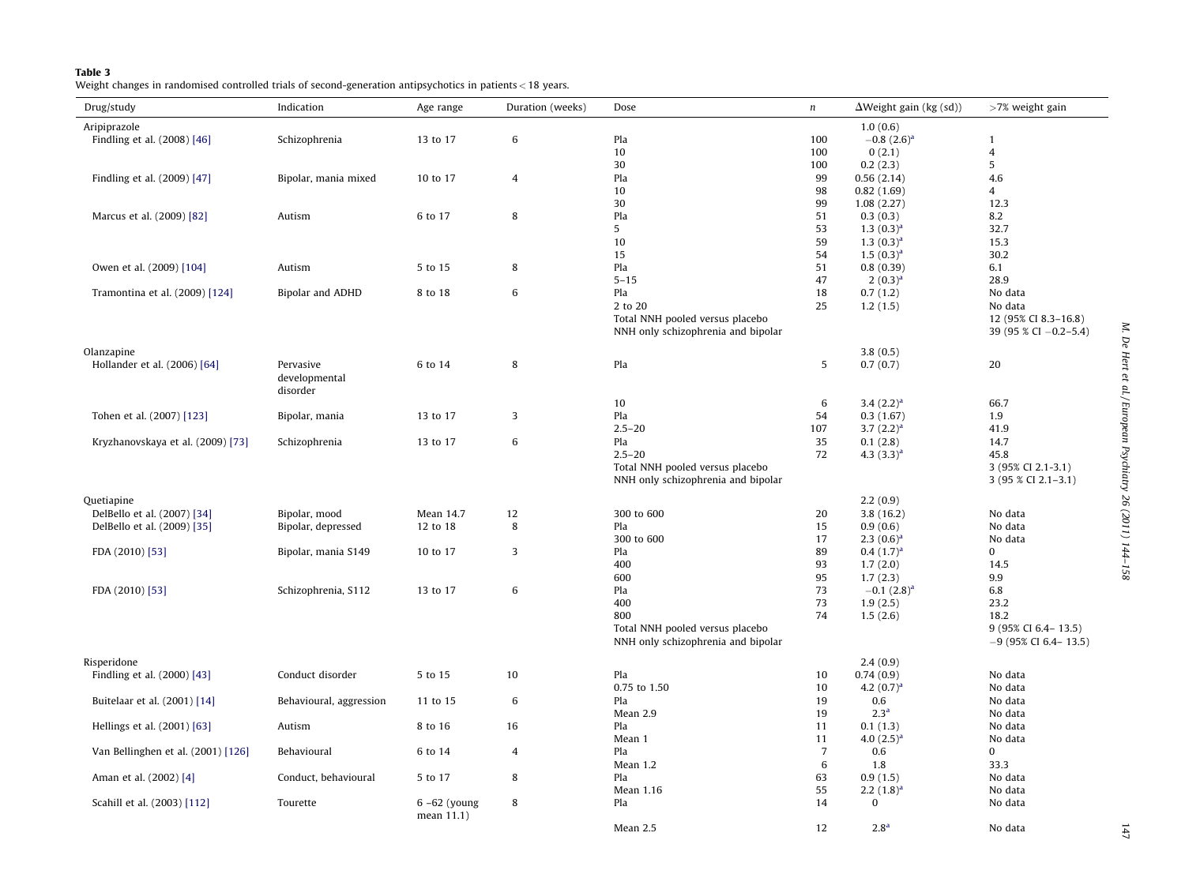# <span id="page-3-0"></span>Table 3Weight changes in randomised controlled trials of second-generation antipsychotics in patients<sup>&</sup>lt; 18 years.

| Drug/study                         | Indication                | Age range                     | Duration (weeks) | Dose                                                                  | $\boldsymbol{n}$ | $\Delta$ Weight gain (kg (sd)) | >7% weight gain                                   |
|------------------------------------|---------------------------|-------------------------------|------------------|-----------------------------------------------------------------------|------------------|--------------------------------|---------------------------------------------------|
| Aripiprazole                       |                           |                               |                  |                                                                       |                  | 1.0(0.6)                       |                                                   |
| Findling et al. (2008) [46]        | Schizophrenia             | 13 to 17                      | 6                | Pla                                                                   | 100              | $-0.8$ $(2.6)^a$               | $\mathbf{1}$                                      |
|                                    |                           |                               |                  | 10                                                                    | 100              | 0(2.1)                         | $\overline{4}$                                    |
|                                    |                           |                               |                  | 30                                                                    | 100              | 0.2(2.3)                       | 5                                                 |
| Findling et al. (2009) [47]        | Bipolar, mania mixed      | 10 to 17                      | $\overline{4}$   | Pla                                                                   | 99               | 0.56(2.14)                     | 4.6                                               |
|                                    |                           |                               |                  | 10                                                                    | 98               | 0.82(1.69)                     | $\overline{4}$                                    |
|                                    |                           |                               |                  | 30                                                                    | 99               | 1.08(2.27)                     | 12.3                                              |
| Marcus et al. (2009) [82]          | Autism                    | 6 to 17                       | 8                | Pla                                                                   | 51               | 0.3(0.3)                       | 8.2                                               |
|                                    |                           |                               |                  | 5                                                                     | 53               | $1.3(0.3)^a$                   | 32.7                                              |
|                                    |                           |                               |                  | 10                                                                    | 59               | $1.3(0.3)^{a}$                 | 15.3                                              |
|                                    |                           |                               |                  | 15                                                                    | 54               | $1.5(0.3)^{a}$                 | 30.2                                              |
| Owen et al. (2009) [104]           | Autism                    | 5 to 15                       | 8                | Pla                                                                   | 51               | 0.8(0.39)                      | 6.1                                               |
|                                    |                           |                               |                  | $5 - 15$                                                              | 47               | $(0.3)^{a}$                    | 28.9                                              |
| Tramontina et al. (2009) [124]     | Bipolar and ADHD          | 8 to 18                       | 6                | Pla                                                                   | 18               | 0.7(1.2)                       | No data                                           |
|                                    |                           |                               |                  | 2 to 20                                                               | 25               | 1.2(1.5)                       | No data                                           |
|                                    |                           |                               |                  | Total NNH pooled versus placebo                                       |                  |                                | 12 (95% CI 8.3-16.8)                              |
|                                    |                           |                               |                  | NNH only schizophrenia and bipolar                                    |                  |                                | 39 (95 % CI $-0.2-5.4$ )                          |
| Olanzapine                         |                           |                               |                  |                                                                       |                  | 3.8(0.5)                       |                                                   |
| Hollander et al. (2006) [64]       | Pervasive                 | 6 to 14                       | 8                | Pla                                                                   | 5                | 0.7(0.7)                       | 20                                                |
|                                    | developmental<br>disorder |                               |                  |                                                                       |                  |                                |                                                   |
|                                    |                           |                               |                  | 10                                                                    | 6                | 3.4 $(2.2)^a$                  | 66.7                                              |
| Tohen et al. (2007) [123]          | Bipolar, mania            | 13 to 17                      | 3                | Pla                                                                   | 54               | 0.3(1.67)                      | 1.9                                               |
|                                    |                           |                               |                  | $2.5 - 20$                                                            | 107              | $3.7(2.2)^a$                   | 41.9                                              |
| Kryzhanovskaya et al. (2009) [73]  | Schizophrenia             | 13 to 17                      | 6                | Pla                                                                   | 35               | 0.1(2.8)                       | 14.7                                              |
|                                    |                           |                               |                  | $2.5 - 20$                                                            | 72               | 4.3 $(3.3)^a$                  | 45.8                                              |
|                                    |                           |                               |                  | Total NNH pooled versus placebo<br>NNH only schizophrenia and bipolar |                  |                                | 3 (95% CI 2.1-3.1)<br>3 (95 % CI 2.1-3.1)         |
|                                    |                           |                               |                  |                                                                       |                  |                                |                                                   |
| Quetiapine                         |                           |                               |                  |                                                                       |                  | 2.2(0.9)                       |                                                   |
| DelBello et al. (2007) [34]        | Bipolar, mood             | Mean 14.7                     | 12               | 300 to 600                                                            | 20               | 3.8(16.2)                      | No data                                           |
| DelBello et al. (2009) [35]        | Bipolar, depressed        | 12 to 18                      | 8                | Pla                                                                   | 15               | 0.9(0.6)                       | No data                                           |
|                                    |                           |                               |                  | 300 to 600                                                            | 17               | $2.3(0.6)^a$                   | No data                                           |
| FDA (2010) [53]                    | Bipolar, mania S149       | 10 to 17                      | 3                | Pla                                                                   | 89               | $0.4(1.7)^a$                   | $\bf{0}$                                          |
|                                    |                           |                               |                  | 400                                                                   | 93               | 1.7(2.0)                       | 14.5                                              |
|                                    |                           |                               |                  | 600                                                                   | 95               | 1.7(2.3)                       | 9.9                                               |
| FDA (2010) [53]                    | Schizophrenia, S112       | 13 to 17                      | 6                | Pla                                                                   | 73               | $-0.1$ $(2.8)^{a}$             | 6.8                                               |
|                                    |                           |                               |                  | 400                                                                   | 73               | 1.9(2.5)                       | 23.2                                              |
|                                    |                           |                               |                  | 800                                                                   | 74               | 1.5(2.6)                       | 18.2                                              |
|                                    |                           |                               |                  | Total NNH pooled versus placebo<br>NNH only schizophrenia and bipolar |                  |                                | 9 (95% CI 6.4 - 13.5)<br>$-9$ (95% CI 6.4 - 13.5) |
| Risperidone                        |                           |                               |                  |                                                                       |                  | 2.4(0.9)                       |                                                   |
| Findling et al. (2000) [43]        | Conduct disorder          | 5 to 15                       | $10\,$           | Pla                                                                   | 10               | 0.74(0.9)                      | No data                                           |
|                                    |                           |                               |                  | 0.75 to 1.50                                                          | 10               | 4.2 $(0.7)^a$                  | No data                                           |
| Buitelaar et al. (2001) [14]       | Behavioural, aggression   | 11 to 15                      | 6                | Pla                                                                   | 19               | 0.6                            | No data                                           |
|                                    |                           |                               |                  | Mean 2.9                                                              | 19               | 2.3 <sup>a</sup>               | No data                                           |
| Hellings et al. (2001) [63]        | Autism                    | 8 to 16                       | 16               | Pla                                                                   | 11               | 0.1(1.3)                       | No data                                           |
|                                    |                           |                               |                  | Mean 1                                                                | 11               | 4.0 $(2.5)^a$                  | No data                                           |
| Van Bellinghen et al. (2001) [126] | Behavioural               | 6 to 14                       | $\overline{4}$   | Pla                                                                   | $\overline{7}$   | 0.6                            | $\mathbf{0}$                                      |
|                                    |                           |                               |                  | Mean 1.2                                                              | 6                | 1.8                            | 33.3                                              |
| Aman et al. (2002) [4]             | Conduct, behavioural      | 5 to 17                       | 8                | Pla                                                                   | 63               | 0.9(1.5)                       | No data                                           |
|                                    |                           |                               |                  | Mean 1.16                                                             | 55               | $2.2(1.8)^a$                   | No data                                           |
| Scahill et al. (2003) [112]        | Tourette                  | $6 - 62$ (young<br>mean 11.1) | 8                | Pla                                                                   | 14               | $\mathbf{0}$                   | No data                                           |
|                                    |                           |                               |                  | Mean 2.5                                                              | 12               | 2.8 <sup>a</sup>               | No data                                           |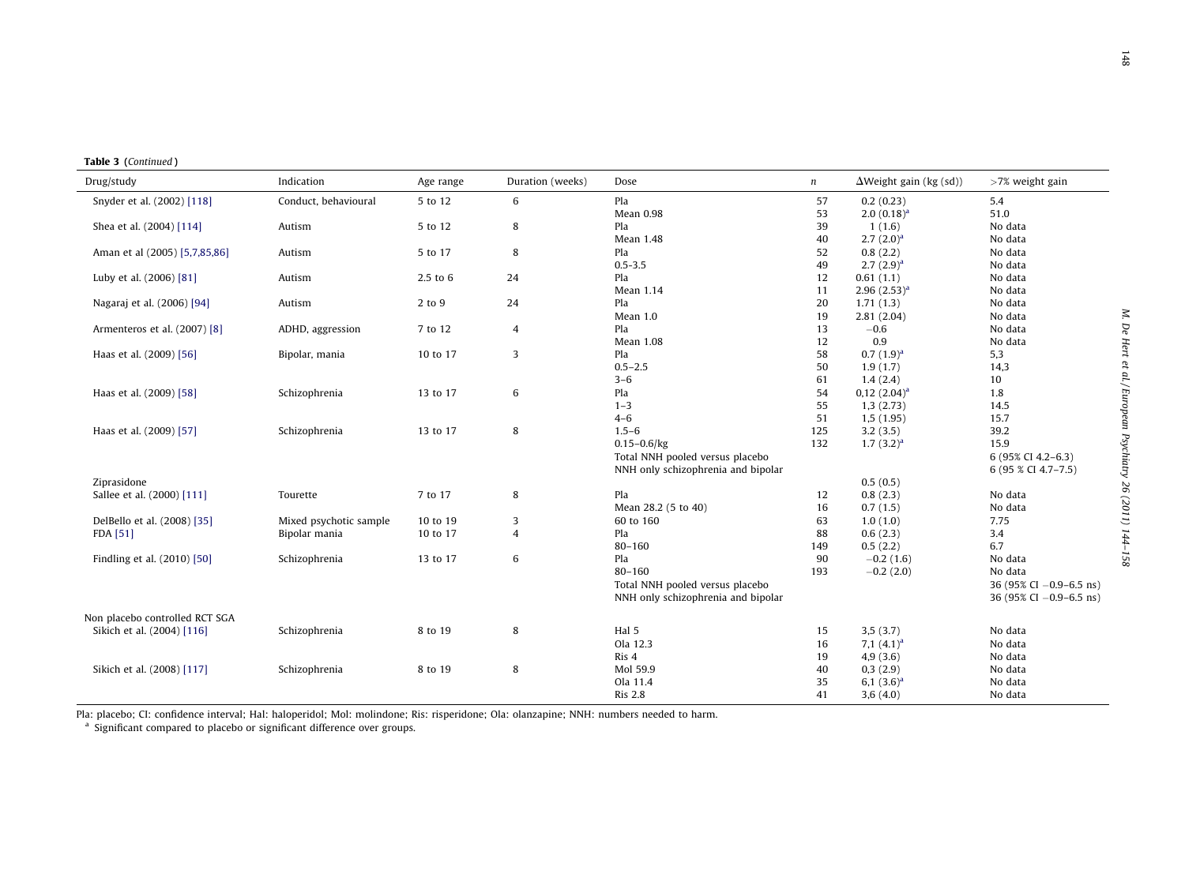<span id="page-4-0"></span>

|  | <b>Table 3 (Continued)</b> |
|--|----------------------------|
|--|----------------------------|

| Drug/study                     | Indication             | Age range    | Duration (weeks) | Dose                               | $\boldsymbol{n}$ | $\Delta$ Weight gain (kg (sd)) | >7% weight gain           |
|--------------------------------|------------------------|--------------|------------------|------------------------------------|------------------|--------------------------------|---------------------------|
| Snyder et al. (2002) [118]     | Conduct, behavioural   | 5 to 12      | 6                | Pla                                | 57               | 0.2(0.23)                      | 5.4                       |
|                                |                        |              |                  | <b>Mean 0.98</b>                   | 53               | $2.0(0.18)^{a}$                | 51.0                      |
| Shea et al. (2004) [114]       | Autism                 | 5 to 12      | 8                | Pla                                | 39               | 1(1.6)                         | No data                   |
|                                |                        |              |                  | <b>Mean 1.48</b>                   | 40               | $2.7(2.0)^{a}$                 | No data                   |
| Aman et al (2005) [5,7,85,86]  | Autism                 | 5 to 17      | 8                | Pla                                | 52               | 0.8(2.2)                       | No data                   |
|                                |                        |              |                  | $0.5 - 3.5$                        | 49               | $2.7(2.9)^a$                   | No data                   |
| Luby et al. (2006) [81]        | Autism                 | $2.5$ to $6$ | 24               | Pla                                | 12               | 0.61(1.1)                      | No data                   |
|                                |                        |              |                  | <b>Mean 1.14</b>                   | 11               | $2.96(2.53)^{a}$               | No data                   |
| Nagaraj et al. (2006) [94]     | Autism                 | 2 to 9       | 24               | Pla                                | 20               | 1.71(1.3)                      | No data                   |
|                                |                        |              |                  | Mean 1.0                           | 19               | 2.81(2.04)                     | No data                   |
| Armenteros et al. (2007) [8]   | ADHD, aggression       | 7 to 12      | $\overline{4}$   | Pla                                | 13               | $-0.6$                         | No data                   |
|                                |                        |              |                  | <b>Mean 1.08</b>                   | 12               | 0.9                            | No data                   |
| Haas et al. (2009) [56]        | Bipolar, mania         | 10 to 17     | 3                | Pla                                | 58               | $0.7(1.9)^a$                   | 5,3                       |
|                                |                        |              |                  | $0.5 - 2.5$                        | 50               | 1.9(1.7)                       | 14,3                      |
|                                |                        |              |                  | $3 - 6$                            | 61               | 1.4(2.4)                       | 10                        |
| Haas et al. (2009) [58]        | Schizophrenia          | 13 to 17     | 6                | Pla                                | 54               | $0,12(2.04)^{a}$               | 1.8                       |
|                                |                        |              |                  | $1 - 3$                            | 55               | 1,3(2.73)                      | 14.5                      |
|                                |                        |              |                  | $4 - 6$                            | 51               | 1,5(1.95)                      | 15.7                      |
| Haas et al. (2009) [57]        | Schizophrenia          | 13 to 17     | 8                | $1.5 - 6$                          | 125              | 3.2(3.5)                       | 39.2                      |
|                                |                        |              |                  | $0.15 - 0.6$ /kg                   | 132              | $1.7(3.2)^a$                   | 15.9                      |
|                                |                        |              |                  | Total NNH pooled versus placebo    |                  |                                | 6 (95% CI 4.2-6.3)        |
|                                |                        |              |                  | NNH only schizophrenia and bipolar |                  |                                | 6 (95 % CI 4.7-7.5)       |
| Ziprasidone                    |                        |              |                  |                                    |                  | 0.5(0.5)                       |                           |
| Sallee et al. (2000) [111]     | Tourette               | 7 to 17      | 8                | Pla                                | 12               | 0.8(2.3)                       | No data                   |
|                                |                        |              |                  | Mean 28.2 (5 to 40)                | 16               | 0.7(1.5)                       | No data                   |
| DelBello et al. (2008) [35]    | Mixed psychotic sample | 10 to 19     | 3                | 60 to 160                          | 63               | 1.0(1.0)                       | 7.75                      |
| FDA [51]                       | Bipolar mania          | 10 to 17     | $\overline{4}$   | Pla                                | 88               | 0.6(2.3)                       | 3.4                       |
|                                |                        |              |                  | 80-160                             | 149              | 0.5(2.2)                       | 6.7                       |
| Findling et al. (2010) [50]    | Schizophrenia          | 13 to 17     | 6                | Pla                                | 90               | $-0.2(1.6)$                    | No data                   |
|                                |                        |              |                  | 80-160                             | 193              | $-0.2(2.0)$                    | No data                   |
|                                |                        |              |                  | Total NNH pooled versus placebo    |                  |                                | 36 (95% CI $-0.9-6.5$ ns) |
|                                |                        |              |                  | NNH only schizophrenia and bipolar |                  |                                | 36 (95% CI $-0.9-6.5$ ns) |
| Non placebo controlled RCT SGA |                        |              |                  |                                    |                  |                                |                           |
| Sikich et al. (2004) [116]     | Schizophrenia          | 8 to 19      | 8                | Hal 5                              | 15               | 3,5(3.7)                       | No data                   |
|                                |                        |              |                  | Ola 12.3                           | 16               | 7,1 $(4.1)^a$                  | No data                   |
|                                |                        |              |                  | Ris 4                              | 19               | 4,9(3.6)                       | No data                   |
| Sikich et al. (2008) [117]     | Schizophrenia          | 8 to 19      | 8                | Mol 59.9                           | 40               | 0,3(2.9)                       | No data                   |
|                                |                        |              |                  | Ola 11.4                           | 35               | 6,1 $(3.6)^a$                  | No data                   |
|                                |                        |              |                  | <b>Ris 2.8</b>                     | 41               | 3,6(4.0)                       | No data                   |

Pla: placebo; CI: confidence interval; Hal: haloperidol; Mol: molindone; Ris: risperidone; Ola: olanzapine; NNH: numbers needed to harm.<br>a Significant compared to placebo or significant difference over groups.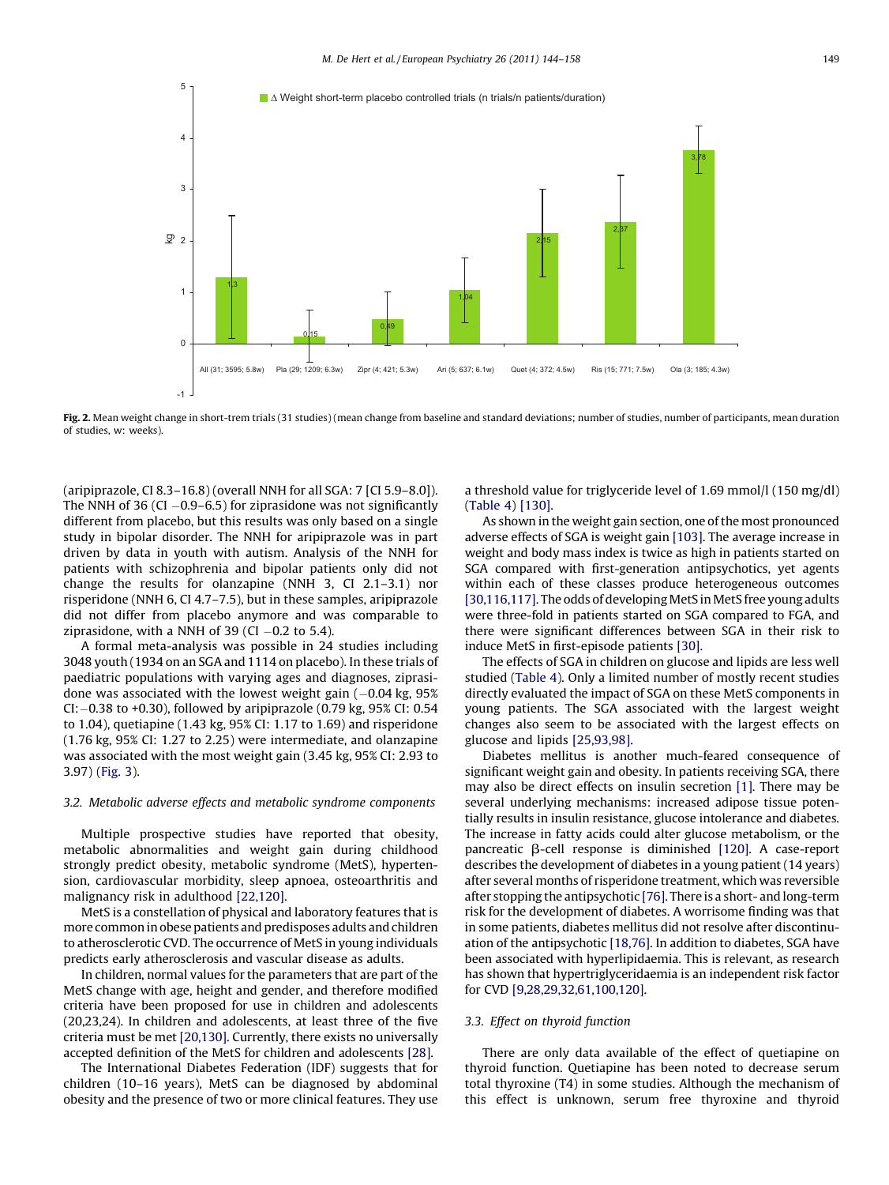<span id="page-5-0"></span>

Fig. 2. Mean weight change in short-trem trials (31 studies) (mean change from baseline and standard deviations; number of studies, number of participants, mean duration of studies, w: weeks).

(aripiprazole, CI 8.3–16.8) (overall NNH for all SGA: 7 [CI 5.9–8.0]). The NNH of 36 (CI –0.9–6.5) for ziprasidone was not significantly different from placebo, but this results was only based on a single study in bipolar disorder. The NNH for aripiprazole was in part driven by data in youth with autism. Analysis of the NNH for patients with schizophrenia and bipolar patients only did not change the results for olanzapine (NNH 3, CI 2.1–3.1) nor risperidone (NNH 6, CI 4.7–7.5), but in these samples, aripiprazole did not differ from placebo anymore and was comparable to ziprasidone, with a NNH of 39 (CI  $-0.2$  to 5.4).

A formal meta-analysis was possible in 24 studies including 3048 youth (1934 on an SGA and 1114 on placebo). In these trials of paediatric populations with varying ages and diagnoses, ziprasidone was associated with the lowest weight gain ( $-0.04$  kg,  $95\%$ CI:-0.38 to +0.30), followed by aripiprazole (0.79 kg, 95% CI: 0.54 to 1.04), quetiapine (1.43 kg, 95% CI: 1.17 to 1.69) and risperidone (1.76 kg, 95% CI: 1.27 to 2.25) were intermediate, and olanzapine was associated with the most weight gain (3.45 kg, 95% CI: 2.93 to 3.97) ([Fig. 3\)](#page-6-0).

## 3.2. Metabolic adverse effects and metabolic syndrome components

Multiple prospective studies have reported that obesity, metabolic abnormalities and weight gain during childhood strongly predict obesity, metabolic syndrome (MetS), hypertension, cardiovascular morbidity, sleep apnoea, osteoarthritis and malignancy risk in adulthood [\[22,120\].](#page-12-0)

MetS is a constellation of physical and laboratory features that is more common in obese patients and predisposes adults and children to atherosclerotic CVD. The occurrence of MetS in young individuals predicts early atherosclerosis and vascular disease as adults.

In children, normal values for the parameters that are part of the MetS change with age, height and gender, and therefore modified criteria have been proposed for use in children and adolescents (20,23,24). In children and adolescents, at least three of the five criteria must be met [\[20,130\].](#page-12-0) Currently, there exists no universally accepted definition of the MetS for children and adolescents [\[28\].](#page-12-0)

The International Diabetes Federation (IDF) suggests that for children (10–16 years), MetS can be diagnosed by abdominal obesity and the presence of two or more clinical features. They use a threshold value for triglyceride level of 1.69 mmol/l (150 mg/dl) ([Table 4\)](#page-7-0) [\[130\]](#page-14-0).

As shown in the weight gain section, one of the most pronounced adverse effects of SGA is weight gain [\[103\].](#page-14-0) The average increase in weight and body mass index is twice as high in patients started on SGA compared with first-generation antipsychotics, yet agents within each of these classes produce heterogeneous outcomes [\[30,116,117\]](#page-12-0). The odds of developing MetS in MetS free young adults were three-fold in patients started on SGA compared to FGA, and there were significant differences between SGA in their risk to induce MetS in first-episode patients [\[30\]](#page-12-0).

The effects of SGA in children on glucose and lipids are less well studied [\(Table 4](#page-7-0)). Only a limited number of mostly recent studies directly evaluated the impact of SGA on these MetS components in young patients. The SGA associated with the largest weight changes also seem to be associated with the largest effects on glucose and lipids [\[25,93,98\]](#page-12-0).

Diabetes mellitus is another much-feared consequence of significant weight gain and obesity. In patients receiving SGA, there may also be direct effects on insulin secretion [\[1\]](#page-12-0). There may be several underlying mechanisms: increased adipose tissue potentially results in insulin resistance, glucose intolerance and diabetes. The increase in fatty acids could alter glucose metabolism, or the pancreatic  $\beta$ -cell response is diminished [\[120\].](#page-14-0) A case-report describes the development of diabetes in a young patient (14 years) after several months of risperidone treatment, which was reversible after stopping the antipsychotic [\[76\].](#page-13-0) There is a short- and long-term risk for the development of diabetes. A worrisome finding was that in some patients, diabetes mellitus did not resolve after discontinuation of the antipsychotic [\[18,76\].](#page-12-0) In addition to diabetes, SGA have been associated with hyperlipidaemia. This is relevant, as research has shown that hypertriglyceridaemia is an independent risk factor for CVD [\[9,28,29,32,61,100,120\].](#page-12-0)

## 3.3. Effect on thyroid function

There are only data available of the effect of quetiapine on thyroid function. Quetiapine has been noted to decrease serum total thyroxine (T4) in some studies. Although the mechanism of this effect is unknown, serum free thyroxine and thyroid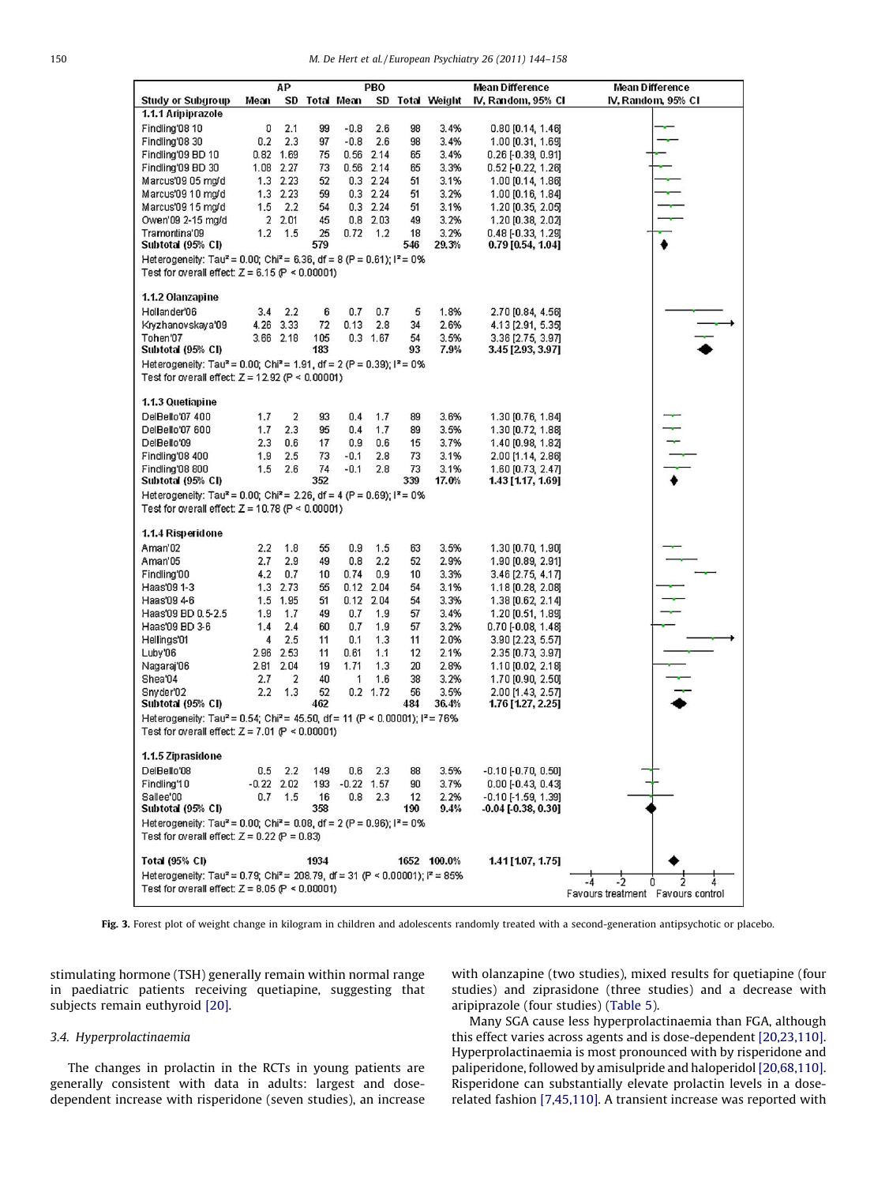<span id="page-6-0"></span>

|                                                                                                                                                               |              | AP          |           |               | PBO        |           |                 | Mean Difference                                 | Mean Difference                   |
|---------------------------------------------------------------------------------------------------------------------------------------------------------------|--------------|-------------|-----------|---------------|------------|-----------|-----------------|-------------------------------------------------|-----------------------------------|
| Study or Subgroup                                                                                                                                             | Mean         |             |           | SD Total Mean |            |           | SD Total Weight | IV, Random, 95% CI                              | IV, Random, 95% Cl                |
| 1.1.1 Aripiprazole                                                                                                                                            |              |             |           |               |            |           |                 |                                                 |                                   |
| Findling'08 10                                                                                                                                                | 0            | 2.1         | 99        | $-0.8$        | 2.6        | 98        | 3.4%            | 0.80 [0.14, 1.46]                               |                                   |
| Findling'08 30                                                                                                                                                | 0.2          | 2.3         | 97        | $-0.8$        | 2.6        | 98        | 3.4%            | 1.00 [0.31, 1.69]                               |                                   |
| Findling'09 BD 10                                                                                                                                             |              | $0.82$ 1.69 | 75        | 0.56          | 2.14       | 65        | 3.4%            | $0.26$ [- $0.39$ , $0.91$ ]                     |                                   |
| Findling'09 BD 30                                                                                                                                             | 1.08         | 2.27        | 73        | 0.56          | 2.14       | 65        | 3.3%            | 0.52 [-0.22, 1.26]                              |                                   |
| Marcus 09 05 mg/d                                                                                                                                             | 1.3          | 2.23        | 52        |               | $0.3$ 2.24 | 51        | 3.1%            | 1.00 [0.14, 1.86]                               |                                   |
| Marcus 09 10 mo/d                                                                                                                                             | 1.3          | 2.23        | 59        |               | $0.3$ 2.24 | 51        | 3.2%            | 1.00 [0.16, 1.84]                               |                                   |
| Marcus 09 15 mg/d                                                                                                                                             | 1.5          | 2.2         | 54        |               | $0.3$ 2.24 | 51        | 3.1%            | 1.20 [0.35, 2.05]                               |                                   |
| Owen'09 2-15 mg/d                                                                                                                                             | 2            | 2.01        | 45        |               | $0.8$ 2.03 | 49        | 3.2%            | 1.20 [0.38, 2.02]                               |                                   |
| Tramontina'09<br>Subtotal (95% CI)                                                                                                                            | 1.2          | 1.5         | 25<br>579 | 0.72          | 1.2        | 18<br>546 | 3.2%<br>29.3%   | $0.48$ [ $-0.33$ , 1.29]<br>$0.79$ [0.54, 1.04] |                                   |
| Heterogeneity: Tau <sup>2</sup> = 0.00; Chi <sup>2</sup> = 6.36, df = 8 (P = 0.61); l <sup>2</sup> = 0%                                                       |              |             |           |               |            |           |                 |                                                 |                                   |
| Test for overall effect: $Z = 6.15$ (P < 0.00001)                                                                                                             |              |             |           |               |            |           |                 |                                                 |                                   |
| 1.1.2 Olanzapine                                                                                                                                              |              |             |           |               |            |           |                 |                                                 |                                   |
| Hollander'06                                                                                                                                                  | 3.4          | 2.2         | 6         | 0.7           | 0.7        | 5         | 1.8%            | 2.70 [0.84, 4.56]                               |                                   |
| Kryzhanovskaya'09                                                                                                                                             |              | 4.26 3.33   | 72        | 0.13          | 2.8        | 34        | 2.6%            | 4.13 [2.91, 5.35]                               |                                   |
| Tohen'07                                                                                                                                                      |              | 3.66 2.18   | 105       |               | $0.3$ 1.67 | 54        | 3.5%            | 3.36 [2.75, 3.97]                               |                                   |
| Subtotal (95% CI)                                                                                                                                             |              |             | 183       |               |            | 93        | 7.9%            | 3.45 [2.93, 3.97]                               |                                   |
| Heterogeneity: Tau <sup>2</sup> = 0.00; Chi <sup>2</sup> = 1.91, df = 2 (P = 0.39); l <sup>2</sup> = 0%                                                       |              |             |           |               |            |           |                 |                                                 |                                   |
| Test for overall effect: $Z = 12.92$ (P < 0.00001)                                                                                                            |              |             |           |               |            |           |                 |                                                 |                                   |
|                                                                                                                                                               |              |             |           |               |            |           |                 |                                                 |                                   |
| 1.1.3 Quetiapine                                                                                                                                              |              |             |           |               |            |           |                 |                                                 |                                   |
| DelBello'07 400                                                                                                                                               | 1.7          | 2           | 93        | 0.4           | 1.7        | 89        | 3.6%            | 1.30 [0.76, 1.84]                               |                                   |
| DelBello'07 600                                                                                                                                               | 1.7          | 2.3         | 95        | 0.4           | 1.7        | 89        | 3.5%            | 1.30 [0.72, 1.88]                               |                                   |
| DelBello'09                                                                                                                                                   | 2.3          | 0.6         | 17        | 0.9           | 0.6        | 15        | 3.7%            | 1.40 [0.98, 1.82]                               |                                   |
| Findling'08 400                                                                                                                                               | 1.9          | 2.5         | 73        | $-0.1$        | 2.8        | 73        | 3.1%            | 2.00 [1.14 2.86]                                |                                   |
| Findling'08 800                                                                                                                                               | 1.5          | 2.6         | 74        | $-0.1$        | 2.8        | 73        | 3.1%            | 1.60 [0.73, 2.47]                               |                                   |
| Subtotal (95% CI)                                                                                                                                             |              |             | 352       |               |            | 339       | 17.0%           | 1.43 [1.17, 1.69]                               |                                   |
| Heterogeneity: Tau <sup>2</sup> = 0.00; Chi <sup>2</sup> = 2.26, df = 4 (P = 0.69); l <sup>2</sup> = 0%<br>Test for overall effect: $Z = 10.78$ (P < 0.00001) |              |             |           |               |            |           |                 |                                                 |                                   |
|                                                                                                                                                               |              |             |           |               |            |           |                 |                                                 |                                   |
| 1.1.4 Risperidone                                                                                                                                             |              |             |           |               |            |           |                 |                                                 |                                   |
| Aman'02                                                                                                                                                       | 2.2          | 1.8         | 55        | 0.9           | 1.5        | 63        | 3.5%            | 1.30 [0.70, 1.90]                               |                                   |
| Aman'05                                                                                                                                                       | 2.7          | 2.9         | 49        | 0.8           | 2.2        | 52        | 2.9%            | 1.90 [0.89, 2.91]                               |                                   |
| Findling'00                                                                                                                                                   | 4.2          | 0.7         | 10        | 0.74          | 0.9        | 10        | 3.3%            | 3.46 [2.75, 4.17]                               |                                   |
| Haas'09 1-3                                                                                                                                                   | 1.3          | 2.73        | 55        | $0.12$ 2.04   |            | 54        | 3.1%            | 1.18 [0.28, 2.08]                               |                                   |
| Haas'09 4-6                                                                                                                                                   |              | 1.5 1.95    | 51        | $0.12$ 2.04   |            | 54        | 3.3%            | 1.38 [0.62, 2.14]                               |                                   |
| Haas'09 BD 0.5-2.5                                                                                                                                            | 1.9          | 1.7         | 49        | 0.7           | 1.9        | 57        | 3.4%            | 1.20 [0.51, 1.89]                               |                                   |
| Haas'09 BD 3-6                                                                                                                                                | 1.4          | 2.4         | 60        | 0.7           | 1.9        | 57        | 3.2%            | 0.70 [-0.08, 1.48]                              |                                   |
| Hellings'01                                                                                                                                                   | 4            | 2.5         | 11        | 0.1           | 1.3        | 11        | 2.0%            | 3.90 [2.23, 5.57]                               |                                   |
| Luby 06                                                                                                                                                       | 2.96         | 2.53        | 11        | 0.61          | 1.1        | 12        | 2.1%            | 2.35 [0.73, 3.97]                               |                                   |
| Nagaraj'06                                                                                                                                                    | 2.81         | 2.04        | 19        | 1.71          | 1.3        | 20        | 2.8%            | 1.10 [0.02, 2.18]                               |                                   |
| Shea'04                                                                                                                                                       | 2.7          | 2           | 40        | 1             | 1.6        | 38        | 3.2%            | 1.70 [0.90, 2.50]                               |                                   |
| Snyder'02                                                                                                                                                     | 2.2          | 1.3         | 52        |               | $0.2$ 1.72 | 56        | 3.5%            | 2.00 [1.43, 2.57]                               |                                   |
| Subtotal (95% CI)                                                                                                                                             |              |             | 462       |               |            | 484       | 36.4%           | 1.76 [1.27, 2.25]                               |                                   |
| Heterogeneity: Tau <sup>2</sup> = 0.54; Chi <sup>2</sup> = 45.50, df = 11 (P < 0.00001); l <sup>2</sup> = 76%                                                 |              |             |           |               |            |           |                 |                                                 |                                   |
| Test for overall effect: $Z = 7.01$ (P < 0.00001)                                                                                                             |              |             |           |               |            |           |                 |                                                 |                                   |
|                                                                                                                                                               |              |             |           |               |            |           |                 |                                                 |                                   |
| 1.1.5 Ziprasidone                                                                                                                                             |              |             |           |               |            |           |                 |                                                 |                                   |
| DelBello'08                                                                                                                                                   | 0.5          | 2.2         | 149       | 0.6           | 2.3        | 88        | 3.5%            | $-0.10[-0.70, 0.50]$                            |                                   |
| Findling'10                                                                                                                                                   | $-0.22$ 2.02 |             | 193       | $-0.22$ 1.57  |            | 90        | 3.7%            | $0.00$ [ $-0.43$ , $0.43$ ]                     |                                   |
| Sallee'00                                                                                                                                                     | 0.7          | 1.5         | 16        | 0.8           | 2.3        | 12        | 2.2%            | $-0.10$ [-1.59, 1.39]                           |                                   |
| Subtotal (95% CI)                                                                                                                                             |              |             | 358       |               |            | 190       | 9.4%            | $-0.04$ [ $-0.38$ , $0.30$ ]                    |                                   |
| Heterogeneity: Tau <sup>2</sup> = 0.00; Chi <sup>2</sup> = 0.08, df = 2 (P = 0.96); l <sup>2</sup> = 0%                                                       |              |             |           |               |            |           |                 |                                                 |                                   |
| Test for overall effect: $Z = 0.22$ (P = 0.83)                                                                                                                |              |             |           |               |            |           |                 |                                                 |                                   |
| Total (95% CI)                                                                                                                                                |              |             | 1934      |               |            |           | 1652 100.0%     | 1.41 [1.07, 1.75]                               |                                   |
| Heterogeneity: Tau <sup>2</sup> = 0.79; Chi <sup>2</sup> = 208.79, df = 31 (P < 0.00001); $P = 85\%$                                                          |              |             |           |               |            |           |                 |                                                 |                                   |
| Test for overall effect: $Z = 8.05$ (P < 0.00001)                                                                                                             |              |             |           |               |            |           |                 |                                                 | -2<br>n                           |
|                                                                                                                                                               |              |             |           |               |            |           |                 |                                                 | Favours treatment Favours control |

Fig. 3. Forest plot of weight change in kilogram in children and adolescents randomly treated with a second-generation antipsychotic or placebo.

stimulating hormone (TSH) generally remain within normal range in paediatric patients receiving quetiapine, suggesting that subjects remain euthyroid [\[20\]](#page-12-0).

# 3.4. Hyperprolactinaemia

The changes in prolactin in the RCTs in young patients are generally consistent with data in adults: largest and dosedependent increase with risperidone (seven studies), an increase

with olanzapine (two studies), mixed results for quetiapine (four studies) and ziprasidone (three studies) and a decrease with aripiprazole (four studies) [\(Table 5](#page-8-0)).

Many SGA cause less hyperprolactinaemia than FGA, although this effect varies across agents and is dose-dependent [\[20,23,110\].](#page-12-0) Hyperprolactinaemia is most pronounced with by risperidone and paliperidone, followed by amisulpride and haloperidol [\[20,68,110\].](#page-12-0) Risperidone can substantially elevate prolactin levels in a doserelated fashion [\[7,45,110\].](#page-12-0) A transient increase was reported with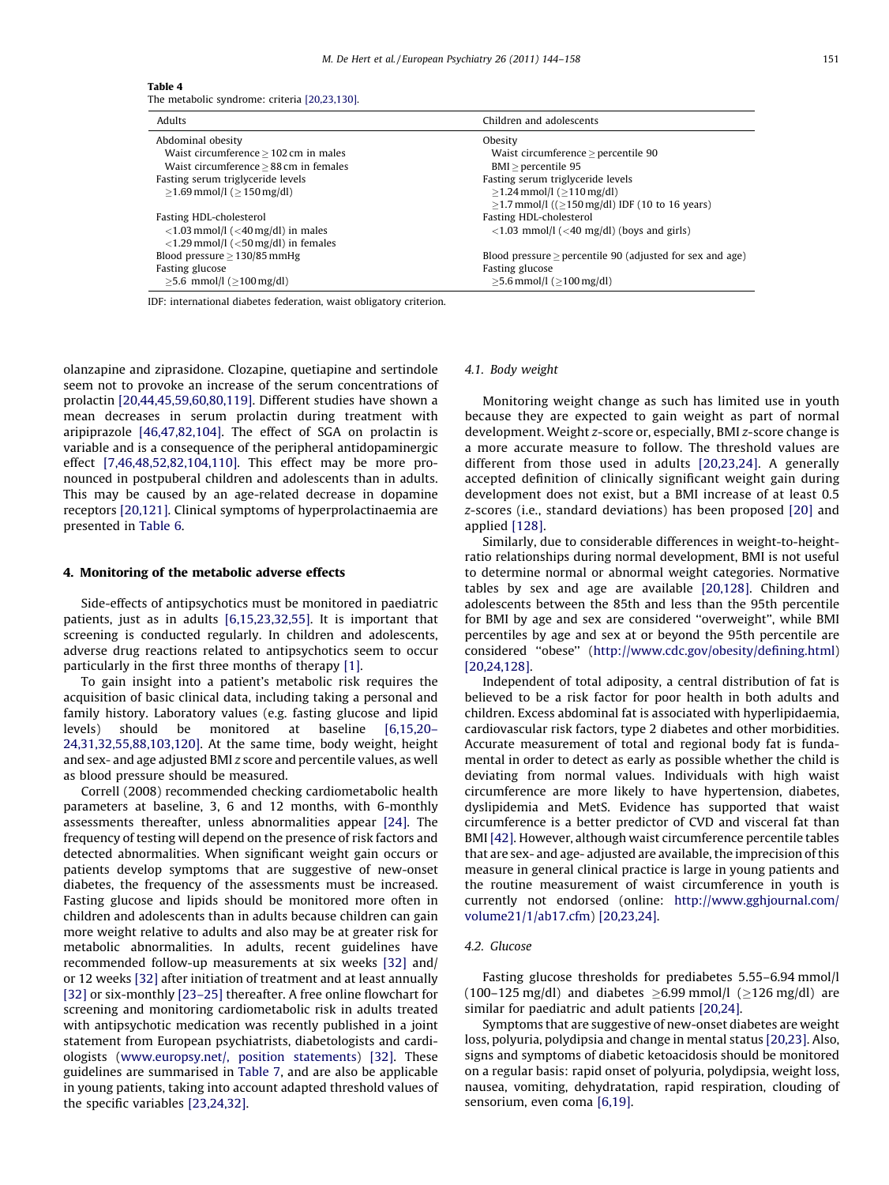<span id="page-7-0"></span>Table 4

The metabolic syndrome: criteria [\[20,23,130\]](#page-12-0).

| <b>Adults</b>                              | Children and adolescents                                     |
|--------------------------------------------|--------------------------------------------------------------|
| Abdominal obesity                          | Obesity                                                      |
| Waist circumference $>$ 102 cm in males    | Waist circumference $\geq$ percentile 90                     |
| Waist circumference $> 88$ cm in females   | $BMI >$ percentile 95                                        |
| Fasting serum triglyceride levels          | Fasting serum triglyceride levels                            |
| $>1.69$ mmol/l ( $>150$ mg/dl)             | $>1.24$ mmol/l ( $>110$ mg/dl)                               |
|                                            | $\geq$ 1.7 mmol/l (( $\geq$ 150 mg/dl) IDF (10 to 16 years)  |
| Fasting HDL-cholesterol                    | Fasting HDL-cholesterol                                      |
| $<$ 1.03 mmol/l ( $<$ 40 mg/dl) in males   | $\langle$ 1.03 mmol/l ( $\langle$ 40 mg/dl) (boys and girls) |
| $<$ 1.29 mmol/l ( $<$ 50 mg/dl) in females |                                                              |
| Blood pressure $> 130/85$ mmHg             | Blood pressure $>$ percentile 90 (adjusted for sex and age)  |
| Fasting glucose                            | Fasting glucose                                              |
| $>5.6$ mmol/l ( $>100$ mg/dl)              | $>$ 5.6 mmol/l ( $>$ 100 mg/dl)                              |

IDF: international diabetes federation, waist obligatory criterion.

olanzapine and ziprasidone. Clozapine, quetiapine and sertindole seem not to provoke an increase of the serum concentrations of prolactin [\[20,44,45,59,60,80,119\]](#page-12-0). Different studies have shown a mean decreases in serum prolactin during treatment with aripiprazole [\[46,47,82,104\]](#page-13-0). The effect of SGA on prolactin is variable and is a consequence of the peripheral antidopaminergic effect [\[7,46,48,52,82,104,110\].](#page-12-0) This effect may be more pronounced in postpuberal children and adolescents than in adults. This may be caused by an age-related decrease in dopamine receptors [\[20,121\].](#page-12-0) Clinical symptoms of hyperprolactinaemia are presented in [Table 6.](#page-9-0)

## 4. Monitoring of the metabolic adverse effects

Side-effects of antipsychotics must be monitored in paediatric patients, just as in adults [\[6,15,23,32,55\].](#page-12-0) It is important that screening is conducted regularly. In children and adolescents, adverse drug reactions related to antipsychotics seem to occur particularly in the first three months of therapy [\[1\]](#page-12-0).

To gain insight into a patient's metabolic risk requires the acquisition of basic clinical data, including taking a personal and family history. Laboratory values (e.g. fasting glucose and lipid levels) should be monitored at baseline [\[6,15,20–](#page-12-0) [24,31,32,55,88,103,120\]](#page-12-0). At the same time, body weight, height and sex- and age adjusted BMI z score and percentile values, as well as blood pressure should be measured.

Correll (2008) recommended checking cardiometabolic health parameters at baseline, 3, 6 and 12 months, with 6-monthly assessments thereafter, unless abnormalities appear [\[24\].](#page-12-0) The frequency of testing will depend on the presence of risk factors and detected abnormalities. When significant weight gain occurs or patients develop symptoms that are suggestive of new-onset diabetes, the frequency of the assessments must be increased. Fasting glucose and lipids should be monitored more often in children and adolescents than in adults because children can gain more weight relative to adults and also may be at greater risk for metabolic abnormalities. In adults, recent guidelines have recommended follow-up measurements at six weeks [\[32\]](#page-12-0) and/ or 12 weeks [\[32\]](#page-12-0) after initiation of treatment and at least annually [\[32\]](#page-12-0) or six-monthly [23-25] thereafter. A free online flowchart for screening and monitoring cardiometabolic risk in adults treated with antipsychotic medication was recently published in a joint statement from European psychiatrists, diabetologists and cardiologists ([www.europsy.net/, position statements](http://www.europsy.net/,%20position%20statements)) [\[32\].](#page-12-0) These guidelines are summarised in [Table 7,](#page-9-0) and are also be applicable in young patients, taking into account adapted threshold values of the specific variables [\[23,24,32\].](#page-12-0)

## 4.1. Body weight

Monitoring weight change as such has limited use in youth because they are expected to gain weight as part of normal development. Weight z-score or, especially, BMI z-score change is a more accurate measure to follow. The threshold values are different from those used in adults [\[20,23,24\].](#page-12-0) A generally accepted definition of clinically significant weight gain during development does not exist, but a BMI increase of at least 0.5 z-scores (i.e., standard deviations) has been proposed [\[20\]](#page-12-0) and applied [\[128\]](#page-14-0).

Similarly, due to considerable differences in weight-to-heightratio relationships during normal development, BMI is not useful to determine normal or abnormal weight categories. Normative tables by sex and age are available [\[20,128\]](#page-12-0). Children and adolescents between the 85th and less than the 95th percentile for BMI by age and sex are considered ''overweight'', while BMI percentiles by age and sex at or beyond the 95th percentile are considered ''obese'' ([http://www.cdc.gov/obesity/defining.html\)](http://www.cdc.gov/obesity/defining.html) [\[20,24,128\]](#page-12-0).

Independent of total adiposity, a central distribution of fat is believed to be a risk factor for poor health in both adults and children. Excess abdominal fat is associated with hyperlipidaemia, cardiovascular risk factors, type 2 diabetes and other morbidities. Accurate measurement of total and regional body fat is fundamental in order to detect as early as possible whether the child is deviating from normal values. Individuals with high waist circumference are more likely to have hypertension, diabetes, dyslipidemia and MetS. Evidence has supported that waist circumference is a better predictor of CVD and visceral fat than BMI [\[42\]](#page-12-0). However, although waist circumference percentile tables that are sex- and age- adjusted are available, the imprecision of this measure in general clinical practice is large in young patients and the routine measurement of waist circumference in youth is currently not endorsed (online: [http://www.gghjournal.com/](http://www.gghjournal.com/volume21/1/ab17.cfm) [volume21/1/ab17.cfm\)](http://www.gghjournal.com/volume21/1/ab17.cfm) [\[20,23,24\]](#page-12-0).

## 4.2. Glucose

Fasting glucose thresholds for prediabetes 5.55–6.94 mmol/l (100–125 mg/dl) and diabetes  $\geq$ 6.99 mmol/l ( $\geq$ 126 mg/dl) are similar for paediatric and adult patients [\[20,24\].](#page-12-0)

Symptoms that are suggestive of new-onset diabetes are weight loss, polyuria, polydipsia and change in mental status [\[20,23\].](#page-12-0) Also, signs and symptoms of diabetic ketoacidosis should be monitored on a regular basis: rapid onset of polyuria, polydipsia, weight loss, nausea, vomiting, dehydratation, rapid respiration, clouding of sensorium, even coma [\[6,19\].](#page-12-0)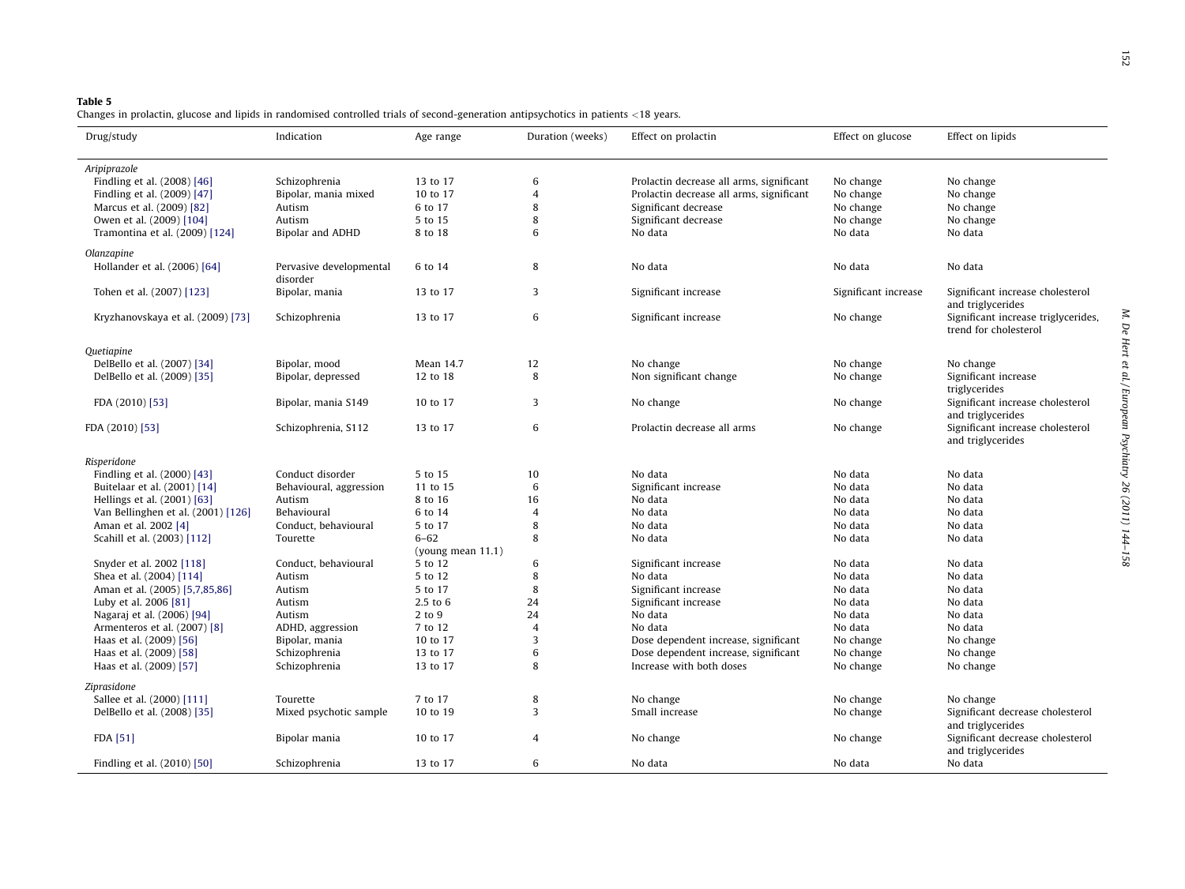# <span id="page-8-0"></span>Table 5

Changes in prolactin, glucose and lipids in randomised controlled trials of second-generation antipsychotics in patients <sup>&</sup>lt;18 years.

| Drug/study                         | Indication                          | Age range                        | Duration (weeks) | Effect on prolactin                      | Effect on glucose    | Effect on lipids                                             |
|------------------------------------|-------------------------------------|----------------------------------|------------------|------------------------------------------|----------------------|--------------------------------------------------------------|
| Aripiprazole                       |                                     |                                  |                  |                                          |                      |                                                              |
| Findling et al. (2008) [46]        | Schizophrenia                       | 13 to 17                         | $\,6\,$          | Prolactin decrease all arms, significant | No change            | No change                                                    |
| Findling et al. (2009) [47]        | Bipolar, mania mixed                | 10 to 17                         | $\overline{4}$   | Prolactin decrease all arms, significant | No change            | No change                                                    |
| Marcus et al. (2009) [82]          | Autism                              | 6 to 17                          | 8                | Significant decrease                     | No change            | No change                                                    |
| Owen et al. (2009) [104]           | Autism                              | 5 to 15                          | 8                | Significant decrease                     | No change            | No change                                                    |
| Tramontina et al. (2009) [124]     | Bipolar and ADHD                    | 8 to 18                          | 6                | No data                                  | No data              | No data                                                      |
| Olanzapine                         |                                     |                                  |                  |                                          |                      |                                                              |
| Hollander et al. (2006) [64]       | Pervasive developmental<br>disorder | 6 to 14                          | 8                | No data                                  | No data              | No data                                                      |
| Tohen et al. (2007) [123]          | Bipolar, mania                      | 13 to 17                         | 3                | Significant increase                     | Significant increase | Significant increase cholesterol<br>and triglycerides        |
| Kryzhanovskaya et al. (2009) [73]  | Schizophrenia                       | 13 to 17                         | 6                | Significant increase                     | No change            | Significant increase triglycerides,<br>trend for cholesterol |
| Quetiapine                         |                                     |                                  |                  |                                          |                      |                                                              |
| DelBello et al. (2007) [34]        | Bipolar, mood                       | Mean 14.7                        | 12               | No change                                | No change            | No change                                                    |
| DelBello et al. (2009) [35]        | Bipolar, depressed                  | 12 to 18                         | 8                | Non significant change                   | No change            | Significant increase<br>triglycerides                        |
| FDA (2010) [53]                    | Bipolar, mania S149                 | 10 to 17                         | 3                | No change                                | No change            | Significant increase cholesterol<br>and triglycerides        |
| FDA (2010) [53]                    | Schizophrenia, S112                 | 13 to 17                         | 6                | Prolactin decrease all arms              | No change            | Significant increase cholesterol<br>and triglycerides        |
| Risperidone                        |                                     |                                  |                  |                                          |                      |                                                              |
| Findling et al. (2000) [43]        | Conduct disorder                    | 5 to 15                          | 10               | No data                                  | No data              | No data                                                      |
| Buitelaar et al. (2001) [14]       | Behavioural, aggression             | 11 to 15                         | 6                | Significant increase                     | No data              | No data                                                      |
| Hellings et al. (2001) [63]        | Autism                              | 8 to 16                          | 16               | No data                                  | No data              | No data                                                      |
| Van Bellinghen et al. (2001) [126] | Behavioural                         | 6 to 14                          | $\overline{4}$   | No data                                  | No data              | No data                                                      |
| Aman et al. 2002 [4]               | Conduct, behavioural                | 5 to 17                          | 8                | No data                                  | No data              | No data                                                      |
| Scahill et al. (2003) [112]        | Tourette                            | $6 - 62$<br>(young mean $11.1$ ) | 8                | No data                                  | No data              | No data                                                      |
| Snyder et al. 2002 [118]           | Conduct, behavioural                | 5 to 12                          | 6                | Significant increase                     | No data              | No data                                                      |
| Shea et al. (2004) [114]           | Autism                              | 5 to 12                          | 8                | No data                                  | No data              | No data                                                      |
| Aman et al. (2005) [5,7,85,86]     | Autism                              | 5 to 17                          | 8                | Significant increase                     | No data              | No data                                                      |
| Luby et al. 2006 [81]              | Autism                              | $2.5$ to $6$                     | 24               | Significant increase                     | No data              | No data                                                      |
| Nagaraj et al. (2006) [94]         | Autism                              | 2 to 9                           | 24               | No data                                  | No data              | No data                                                      |
| Armenteros et al. (2007) [8]       | ADHD, aggression                    | 7 to 12                          | $\overline{4}$   | No data                                  | No data              | No data                                                      |
| Haas et al. (2009) [56]            | Bipolar, mania                      | 10 to 17                         | 3                | Dose dependent increase, significant     | No change            | No change                                                    |
| Haas et al. (2009) [58]            | Schizophrenia                       | 13 to 17                         | 6                | Dose dependent increase, significant     | No change            | No change                                                    |
| Haas et al. (2009) [57]            | Schizophrenia                       | 13 to 17                         | 8                | Increase with both doses                 | No change            | No change                                                    |
| Ziprasidone                        |                                     |                                  |                  |                                          |                      |                                                              |
| Sallee et al. (2000) [111]         | Tourette                            | 7 to 17                          | 8                | No change                                | No change            | No change                                                    |
| DelBello et al. (2008) [35]        | Mixed psychotic sample              | 10 to 19                         | 3                | Small increase                           | No change            | Significant decrease cholesterol<br>and triglycerides        |
| FDA [51]                           | Bipolar mania                       | 10 to 17                         | $\overline{4}$   | No change                                | No change            | Significant decrease cholesterol<br>and triglycerides        |
| Findling et al. (2010) [50]        | Schizophrenia                       | 13 to 17                         | 6                | No data                                  | No data              | No data                                                      |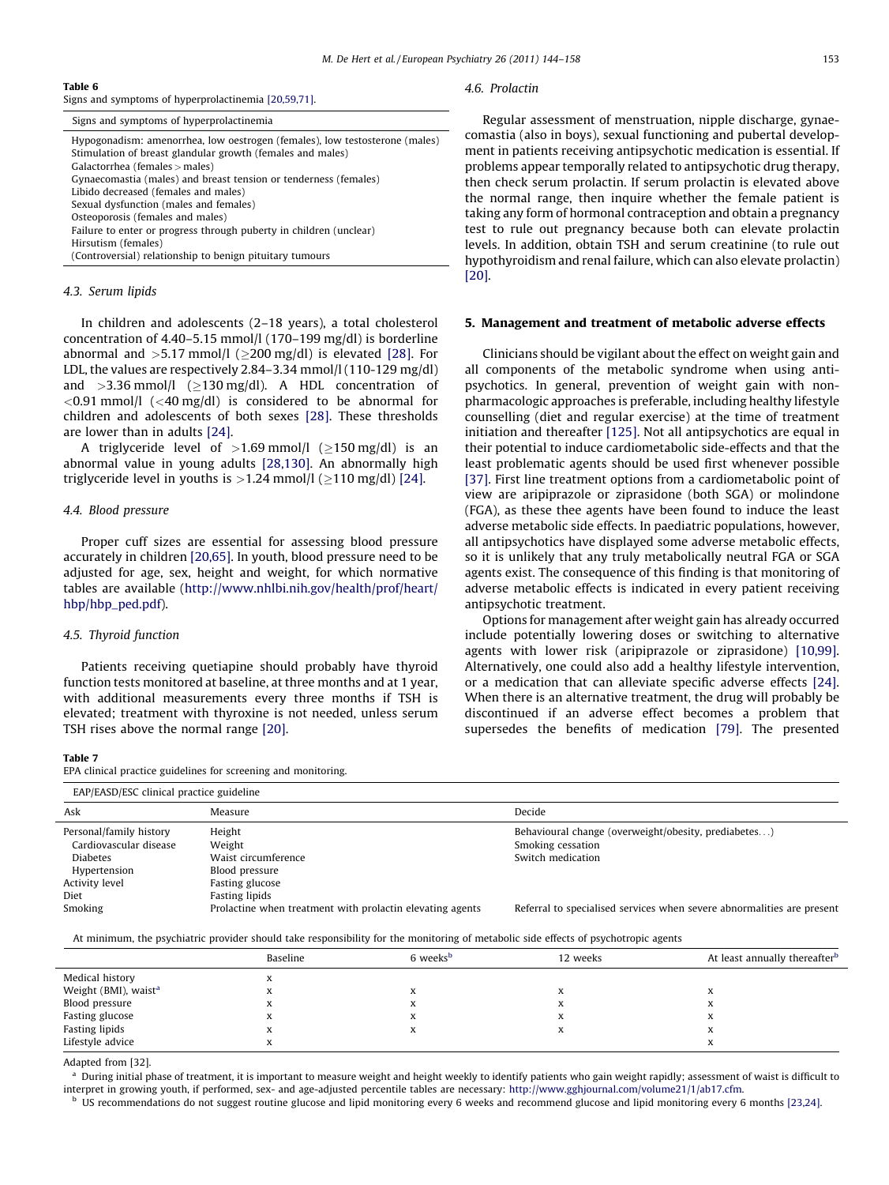#### <span id="page-9-0"></span>Table 6

Signs and symptoms of hyperprolactinemia [\[20,59,71\]](#page-12-0).

|  |  | Signs and symptoms of hyperprolactinemia |
|--|--|------------------------------------------|
|  |  |                                          |

| Hypogonadism: amenorrhea, low oestrogen (females), low testosterone (males)<br>Stimulation of breast glandular growth (females and males) |
|-------------------------------------------------------------------------------------------------------------------------------------------|
| Galactorrhea (females > males)                                                                                                            |
| Gynaecomastia (males) and breast tension or tenderness (females)                                                                          |
| Libido decreased (females and males)                                                                                                      |
| Sexual dysfunction (males and females)                                                                                                    |
| Osteoporosis (females and males)                                                                                                          |
| Failure to enter or progress through puberty in children (unclear)                                                                        |
| Hirsutism (females)                                                                                                                       |
| (Controversial) relationship to benign pituitary tumours                                                                                  |
|                                                                                                                                           |

# 4.3. Serum lipids

In children and adolescents (2–18 years), a total cholesterol concentration of 4.40–5.15 mmol/l (170–199 mg/dl) is borderline abnormal and  $>5.17$  mmol/l ( $>200$  mg/dl) is elevated [\[28\]](#page-12-0). For LDL, the values are respectively 2.84–3.34 mmol/l (110-129 mg/dl) and  $>3.36$  mmol/l ( $\geq$ 130 mg/dl). A HDL concentration of  $<$ 0.91 mmol/l ( $<$ 40 mg/dl) is considered to be abnormal for children and adolescents of both sexes [\[28\].](#page-12-0) These thresholds are lower than in adults [\[24\]](#page-12-0).

A triglyceride level of  $>1.69$  mmol/l ( $\geq$ 150 mg/dl) is an abnormal value in young adults [\[28,130\].](#page-12-0) An abnormally high triglyceride level in youths is  $>1.24$  mmol/l ( $\geq$ 110 mg/dl) [\[24\]](#page-12-0).

# 4.4. Blood pressure

Proper cuff sizes are essential for assessing blood pressure accurately in children [\[20,65\].](#page-12-0) In youth, blood pressure need to be adjusted for age, sex, height and weight, for which normative tables are available ([http://www.nhlbi.nih.gov/health/prof/heart/](http://www.nhlbi.nih.gov/health/prof/heart/hbp/hbp_ped.pdf) [hbp/hbp\\_ped.pdf\)](http://www.nhlbi.nih.gov/health/prof/heart/hbp/hbp_ped.pdf).

## 4.5. Thyroid function

Patients receiving quetiapine should probably have thyroid function tests monitored at baseline, at three months and at 1 year, with additional measurements every three months if TSH is elevated; treatment with thyroxine is not needed, unless serum TSH rises above the normal range [\[20\]](#page-12-0).

#### Table 7

EPA clinical practice guidelines for screening and monitoring.

#### 4.6. Prolactin

Regular assessment of menstruation, nipple discharge, gynaecomastia (also in boys), sexual functioning and pubertal development in patients receiving antipsychotic medication is essential. If problems appear temporally related to antipsychotic drug therapy, then check serum prolactin. If serum prolactin is elevated above the normal range, then inquire whether the female patient is taking any form of hormonal contraception and obtain a pregnancy test to rule out pregnancy because both can elevate prolactin levels. In addition, obtain TSH and serum creatinine (to rule out hypothyroidism and renal failure, which can also elevate prolactin) [\[20\]](#page-12-0).

#### 5. Management and treatment of metabolic adverse effects

Clinicians should be vigilant about the effect on weight gain and all components of the metabolic syndrome when using antipsychotics. In general, prevention of weight gain with nonpharmacologic approaches is preferable, including healthy lifestyle counselling (diet and regular exercise) at the time of treatment initiation and thereafter [\[125\].](#page-14-0) Not all antipsychotics are equal in their potential to induce cardiometabolic side-effects and that the least problematic agents should be used first whenever possible [\[37\]](#page-12-0). First line treatment options from a cardiometabolic point of view are aripiprazole or ziprasidone (both SGA) or molindone (FGA), as these thee agents have been found to induce the least adverse metabolic side effects. In paediatric populations, however, all antipsychotics have displayed some adverse metabolic effects, so it is unlikely that any truly metabolically neutral FGA or SGA agents exist. The consequence of this finding is that monitoring of adverse metabolic effects is indicated in every patient receiving antipsychotic treatment.

Options for management after weight gain has already occurred include potentially lowering doses or switching to alternative agents with lower risk (aripiprazole or ziprasidone) [\[10,99\].](#page-12-0) Alternatively, one could also add a healthy lifestyle intervention, or a medication that can alleviate specific adverse effects [\[24\].](#page-12-0) When there is an alternative treatment, the drug will probably be discontinued if an adverse effect becomes a problem that supersedes the benefits of medication [\[79\].](#page-13-0) The presented

| EAP/EASD/ESC clinical practice guideline |                                                           |                                                                        |
|------------------------------------------|-----------------------------------------------------------|------------------------------------------------------------------------|
| Ask                                      | Measure                                                   | Decide                                                                 |
| Personal/family history                  | Height                                                    | Behavioural change (overweight/obesity, prediabetes)                   |
| Cardiovascular disease                   | Weight                                                    | Smoking cessation                                                      |
| <b>Diabetes</b>                          | Waist circumference                                       | Switch medication                                                      |
| Hypertension                             | Blood pressure                                            |                                                                        |
| Activity level                           | Fasting glucose                                           |                                                                        |
| Diet                                     | <b>Fasting lipids</b>                                     |                                                                        |
| Smoking                                  | Prolactine when treatment with prolactin elevating agents | Referral to specialised services when severe abnormalities are present |

At minimum, the psychiatric provider should take responsibility for the monitoring of metabolic side effects of psychotropic agents

|                                  | Baseline | 6 weeks <sup>b</sup> | 12 weeks  | At least annually thereafter <sup>b</sup> |
|----------------------------------|----------|----------------------|-----------|-------------------------------------------|
| Medical history                  | л        |                      |           |                                           |
| Weight (BMI), waist <sup>a</sup> | ́        |                      |           | $\Lambda$                                 |
| Blood pressure                   | A        | A                    | Λ.        | $\Lambda$                                 |
| Fasting glucose                  | л        |                      | $\Delta$  | $\Lambda$                                 |
| Fasting lipids                   | л        | $\Delta$             | $\Lambda$ | $\Lambda$                                 |
| Lifestyle advice                 | ́        |                      |           | $\Lambda$                                 |

Adapted from [32].

a During initial phase of treatment, it is important to measure weight and height weekly to identify patients who gain weight rapidly; assessment of waist is difficult to interpret in growing youth, if performed, sex- and age-adjusted percentile tables are necessary: <http://www.gghjournal.com/volume21/1/ab17.cfm>.

<sup>b</sup> US recommendations do not suggest routine glucose and lipid monitoring every 6 weeks and recommend glucose and lipid monitoring every 6 months [\[23,24\].](#page-12-0)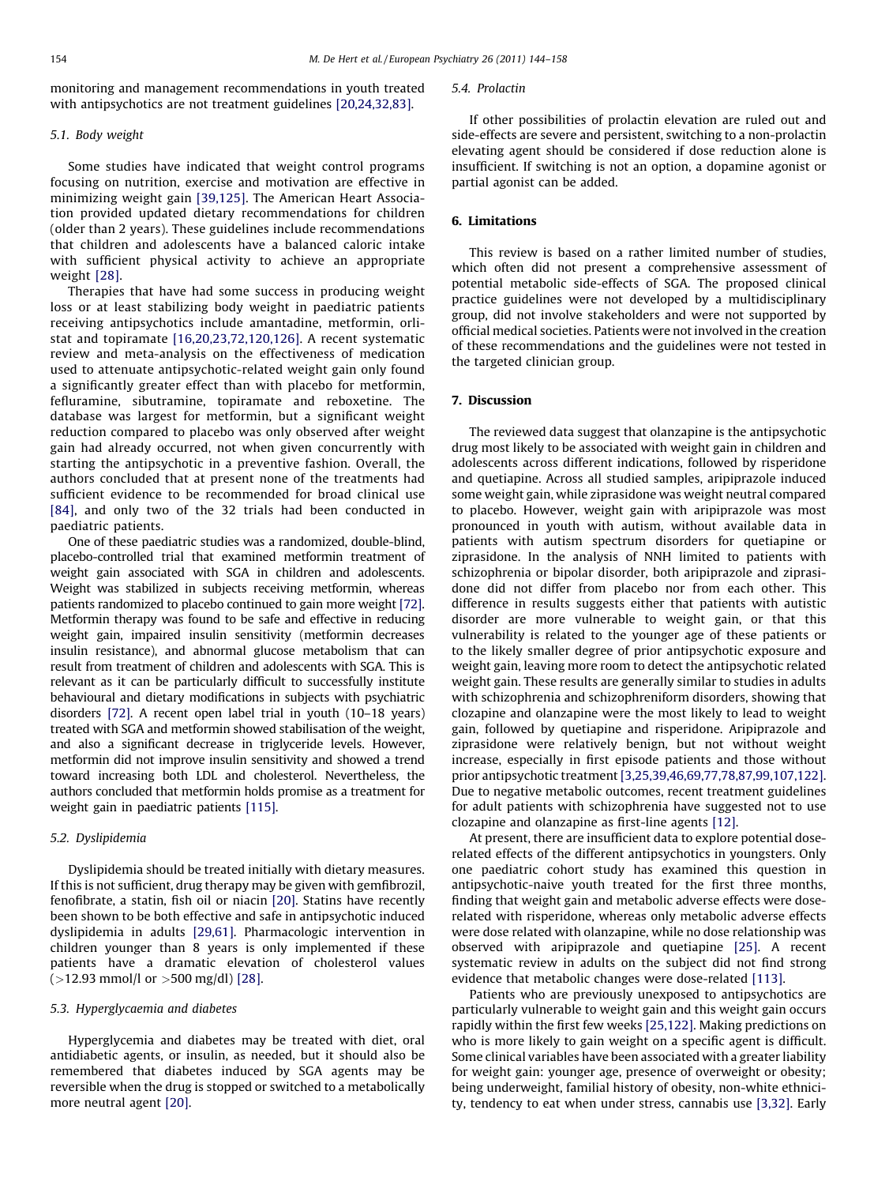monitoring and management recommendations in youth treated with antipsychotics are not treatment guidelines [\[20,24,32,83\]](#page-12-0).

# 5.1. Body weight

Some studies have indicated that weight control programs focusing on nutrition, exercise and motivation are effective in minimizing weight gain [\[39,125\].](#page-12-0) The American Heart Association provided updated dietary recommendations for children (older than 2 years). These guidelines include recommendations that children and adolescents have a balanced caloric intake with sufficient physical activity to achieve an appropriate weight [\[28\]](#page-12-0).

Therapies that have had some success in producing weight loss or at least stabilizing body weight in paediatric patients receiving antipsychotics include amantadine, metformin, orlistat and topiramate [\[16,20,23,72,120,126\].](#page-12-0) A recent systematic review and meta-analysis on the effectiveness of medication used to attenuate antipsychotic-related weight gain only found a significantly greater effect than with placebo for metformin, fefluramine, sibutramine, topiramate and reboxetine. The database was largest for metformin, but a significant weight reduction compared to placebo was only observed after weight gain had already occurred, not when given concurrently with starting the antipsychotic in a preventive fashion. Overall, the authors concluded that at present none of the treatments had sufficient evidence to be recommended for broad clinical use [\[84\],](#page-13-0) and only two of the 32 trials had been conducted in paediatric patients.

One of these paediatric studies was a randomized, double-blind, placebo-controlled trial that examined metformin treatment of weight gain associated with SGA in children and adolescents. Weight was stabilized in subjects receiving metformin, whereas patients randomized to placebo continued to gain more weight [\[72\].](#page-13-0) Metformin therapy was found to be safe and effective in reducing weight gain, impaired insulin sensitivity (metformin decreases insulin resistance), and abnormal glucose metabolism that can result from treatment of children and adolescents with SGA. This is relevant as it can be particularly difficult to successfully institute behavioural and dietary modifications in subjects with psychiatric disorders [\[72\]](#page-13-0). A recent open label trial in youth (10–18 years) treated with SGA and metformin showed stabilisation of the weight, and also a significant decrease in triglyceride levels. However, metformin did not improve insulin sensitivity and showed a trend toward increasing both LDL and cholesterol. Nevertheless, the authors concluded that metformin holds promise as a treatment for weight gain in paediatric patients [\[115\].](#page-14-0)

# 5.2. Dyslipidemia

Dyslipidemia should be treated initially with dietary measures. If this is not sufficient, drug therapy may be given with gemfibrozil, fenofibrate, a statin, fish oil or niacin [\[20\].](#page-12-0) Statins have recently been shown to be both effective and safe in antipsychotic induced dyslipidemia in adults [\[29,61\].](#page-12-0) Pharmacologic intervention in children younger than 8 years is only implemented if these patients have a dramatic elevation of cholesterol values  $($  > 12.93 mmol/l or > 500 mg/dl) [\[28\].](#page-12-0)

# 5.3. Hyperglycaemia and diabetes

Hyperglycemia and diabetes may be treated with diet, oral antidiabetic agents, or insulin, as needed, but it should also be remembered that diabetes induced by SGA agents may be reversible when the drug is stopped or switched to a metabolically more neutral agent [\[20\]](#page-12-0).

#### 5.4. Prolactin

If other possibilities of prolactin elevation are ruled out and side-effects are severe and persistent, switching to a non-prolactin elevating agent should be considered if dose reduction alone is insufficient. If switching is not an option, a dopamine agonist or partial agonist can be added.

# 6. Limitations

This review is based on a rather limited number of studies, which often did not present a comprehensive assessment of potential metabolic side-effects of SGA. The proposed clinical practice guidelines were not developed by a multidisciplinary group, did not involve stakeholders and were not supported by official medical societies. Patients were not involved in the creation of these recommendations and the guidelines were not tested in the targeted clinician group.

# 7. Discussion

The reviewed data suggest that olanzapine is the antipsychotic drug most likely to be associated with weight gain in children and adolescents across different indications, followed by risperidone and quetiapine. Across all studied samples, aripiprazole induced some weight gain, while ziprasidone was weight neutral compared to placebo. However, weight gain with aripiprazole was most pronounced in youth with autism, without available data in patients with autism spectrum disorders for quetiapine or ziprasidone. In the analysis of NNH limited to patients with schizophrenia or bipolar disorder, both aripiprazole and ziprasidone did not differ from placebo nor from each other. This difference in results suggests either that patients with autistic disorder are more vulnerable to weight gain, or that this vulnerability is related to the younger age of these patients or to the likely smaller degree of prior antipsychotic exposure and weight gain, leaving more room to detect the antipsychotic related weight gain. These results are generally similar to studies in adults with schizophrenia and schizophreniform disorders, showing that clozapine and olanzapine were the most likely to lead to weight gain, followed by quetiapine and risperidone. Aripiprazole and ziprasidone were relatively benign, but not without weight increase, especially in first episode patients and those without prior antipsychotic treatment[\[3,25,39,46,69,77,78,87,99,107,122\].](#page-12-0) Due to negative metabolic outcomes, recent treatment guidelines for adult patients with schizophrenia have suggested not to use clozapine and olanzapine as first-line agents [\[12\]](#page-12-0).

At present, there are insufficient data to explore potential doserelated effects of the different antipsychotics in youngsters. Only one paediatric cohort study has examined this question in antipsychotic-naive youth treated for the first three months, finding that weight gain and metabolic adverse effects were doserelated with risperidone, whereas only metabolic adverse effects were dose related with olanzapine, while no dose relationship was observed with aripiprazole and quetiapine [\[25\].](#page-12-0) A recent systematic review in adults on the subject did not find strong evidence that metabolic changes were dose-related [\[113\].](#page-14-0)

Patients who are previously unexposed to antipsychotics are particularly vulnerable to weight gain and this weight gain occurs rapidly within the first few weeks [\[25,122\].](#page-12-0) Making predictions on who is more likely to gain weight on a specific agent is difficult. Some clinical variables have been associated with a greater liability for weight gain: younger age, presence of overweight or obesity; being underweight, familial history of obesity, non-white ethnicity, tendency to eat when under stress, cannabis use [\[3,32\].](#page-12-0) Early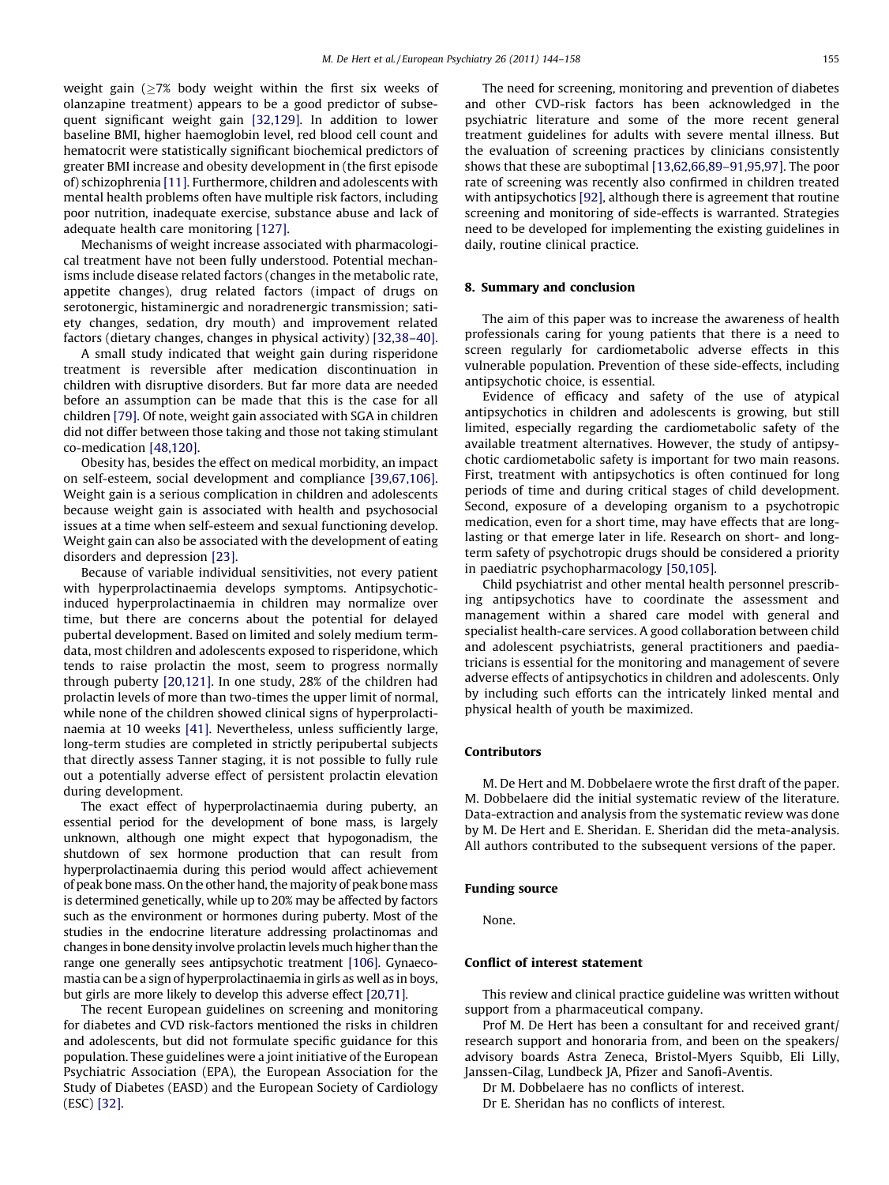weight gain  $(27\%)$  body weight within the first six weeks of olanzapine treatment) appears to be a good predictor of subsequent significant weight gain [\[32,129\].](#page-12-0) In addition to lower baseline BMI, higher haemoglobin level, red blood cell count and hematocrit were statistically significant biochemical predictors of greater BMI increase and obesity development in (the first episode of) schizophrenia [\[11\]](#page-12-0). Furthermore, children and adolescents with mental health problems often have multiple risk factors, including poor nutrition, inadequate exercise, substance abuse and lack of adequate health care monitoring [\[127\]](#page-14-0).

Mechanisms of weight increase associated with pharmacological treatment have not been fully understood. Potential mechanisms include disease related factors (changes in the metabolic rate, appetite changes), drug related factors (impact of drugs on serotonergic, histaminergic and noradrenergic transmission; satiety changes, sedation, dry mouth) and improvement related factors (dietary changes, changes in physical activity) [\[32,38–40\].](#page-12-0)

A small study indicated that weight gain during risperidone treatment is reversible after medication discontinuation in children with disruptive disorders. But far more data are needed before an assumption can be made that this is the case for all children [\[79\].](#page-13-0) Of note, weight gain associated with SGA in children did not differ between those taking and those not taking stimulant co-medication [\[48,120\]](#page-13-0).

Obesity has, besides the effect on medical morbidity, an impact on self-esteem, social development and compliance [\[39,67,106\].](#page-12-0) Weight gain is a serious complication in children and adolescents because weight gain is associated with health and psychosocial issues at a time when self-esteem and sexual functioning develop. Weight gain can also be associated with the development of eating disorders and depression [\[23\].](#page-12-0)

Because of variable individual sensitivities, not every patient with hyperprolactinaemia develops symptoms. Antipsychoticinduced hyperprolactinaemia in children may normalize over time, but there are concerns about the potential for delayed pubertal development. Based on limited and solely medium termdata, most children and adolescents exposed to risperidone, which tends to raise prolactin the most, seem to progress normally through puberty [\[20,121\]](#page-12-0). In one study, 28% of the children had prolactin levels of more than two-times the upper limit of normal, while none of the children showed clinical signs of hyperprolactinaemia at 10 weeks [\[41\]](#page-12-0). Nevertheless, unless sufficiently large, long-term studies are completed in strictly peripubertal subjects that directly assess Tanner staging, it is not possible to fully rule out a potentially adverse effect of persistent prolactin elevation during development.

The exact effect of hyperprolactinaemia during puberty, an essential period for the development of bone mass, is largely unknown, although one might expect that hypogonadism, the shutdown of sex hormone production that can result from hyperprolactinaemia during this period would affect achievement of peak bone mass. On the other hand, the majority of peak bone mass is determined genetically, while up to 20% may be affected by factors such as the environment or hormones during puberty. Most of the studies in the endocrine literature addressing prolactinomas and changes in bone density involve prolactin levels much higher than the range one generally sees antipsychotic treatment [\[106\]](#page-14-0). Gynaecomastia can be a sign of hyperprolactinaemia in girls as well as in boys, but girls are more likely to develop this adverse effect [\[20,71\].](#page-12-0)

The recent European guidelines on screening and monitoring for diabetes and CVD risk-factors mentioned the risks in children and adolescents, but did not formulate specific guidance for this population. These guidelines were a joint initiative of the European Psychiatric Association (EPA), the European Association for the Study of Diabetes (EASD) and the European Society of Cardiology (ESC) [\[32\]](#page-12-0).

The need for screening, monitoring and prevention of diabetes and other CVD-risk factors has been acknowledged in the psychiatric literature and some of the more recent general treatment guidelines for adults with severe mental illness. But the evaluation of screening practices by clinicians consistently shows that these are suboptimal [\[13,62,66,89–91,95,97\].](#page-12-0) The poor rate of screening was recently also confirmed in children treated with antipsychotics [\[92\],](#page-13-0) although there is agreement that routine screening and monitoring of side-effects is warranted. Strategies need to be developed for implementing the existing guidelines in daily, routine clinical practice.

# 8. Summary and conclusion

The aim of this paper was to increase the awareness of health professionals caring for young patients that there is a need to screen regularly for cardiometabolic adverse effects in this vulnerable population. Prevention of these side-effects, including antipsychotic choice, is essential.

Evidence of efficacy and safety of the use of atypical antipsychotics in children and adolescents is growing, but still limited, especially regarding the cardiometabolic safety of the available treatment alternatives. However, the study of antipsychotic cardiometabolic safety is important for two main reasons. First, treatment with antipsychotics is often continued for long periods of time and during critical stages of child development. Second, exposure of a developing organism to a psychotropic medication, even for a short time, may have effects that are longlasting or that emerge later in life. Research on short- and longterm safety of psychotropic drugs should be considered a priority in paediatric psychopharmacology [\[50,105\].](#page-13-0)

Child psychiatrist and other mental health personnel prescribing antipsychotics have to coordinate the assessment and management within a shared care model with general and specialist health-care services. A good collaboration between child and adolescent psychiatrists, general practitioners and paediatricians is essential for the monitoring and management of severe adverse effects of antipsychotics in children and adolescents. Only by including such efforts can the intricately linked mental and physical health of youth be maximized.

#### Contributors

M. De Hert and M. Dobbelaere wrote the first draft of the paper. M. Dobbelaere did the initial systematic review of the literature. Data-extraction and analysis from the systematic review was done by M. De Hert and E. Sheridan. E. Sheridan did the meta-analysis. All authors contributed to the subsequent versions of the paper.

# Funding source

None.

#### Conflict of interest statement

This review and clinical practice guideline was written without support from a pharmaceutical company.

Prof M. De Hert has been a consultant for and received grant/ research support and honoraria from, and been on the speakers/ advisory boards Astra Zeneca, Bristol-Myers Squibb, Eli Lilly, Janssen-Cilag, Lundbeck JA, Pfizer and Sanofi-Aventis.

- Dr M. Dobbelaere has no conflicts of interest.
- Dr E. Sheridan has no conflicts of interest.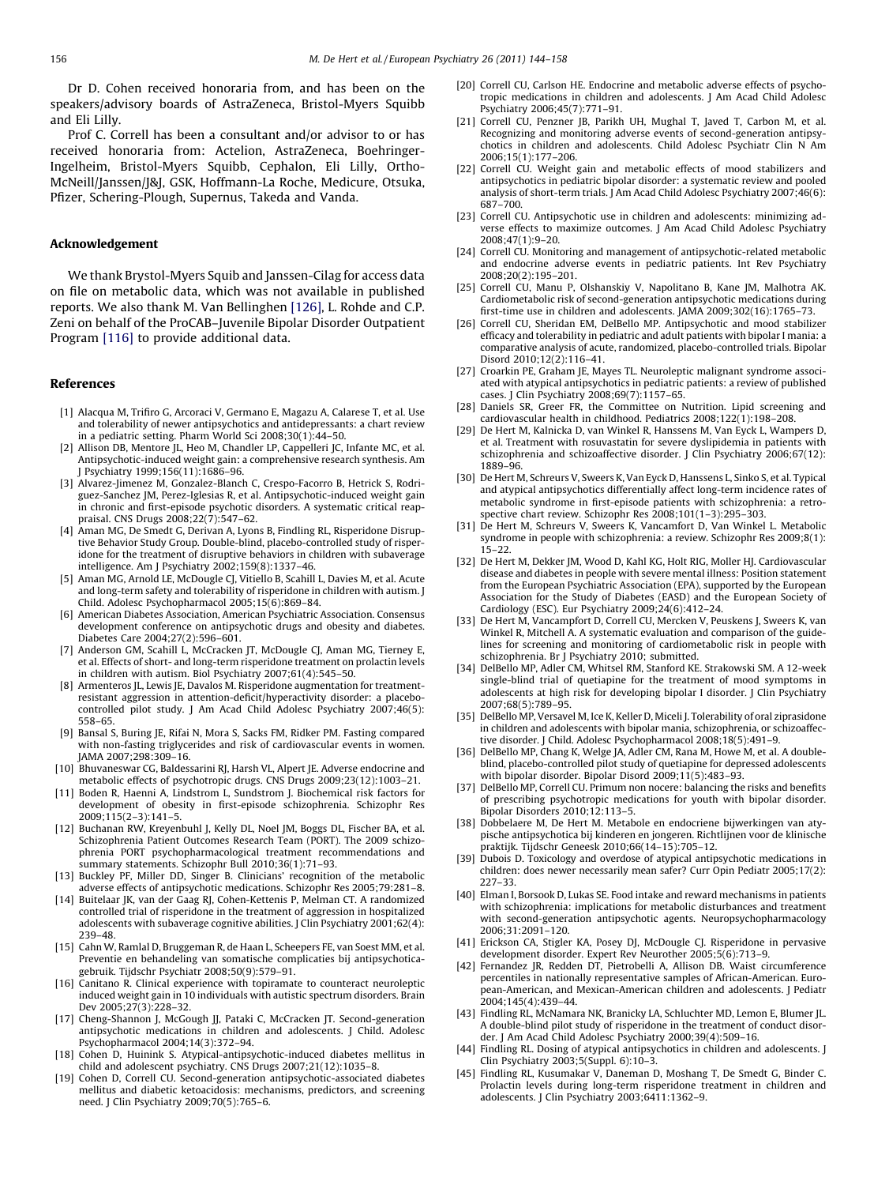<span id="page-12-0"></span>Dr D. Cohen received honoraria from, and has been on the speakers/advisory boards of AstraZeneca, Bristol-Myers Squibb and Eli Lilly.

Prof C. Correll has been a consultant and/or advisor to or has received honoraria from: Actelion, AstraZeneca, Boehringer-Ingelheim, Bristol-Myers Squibb, Cephalon, Eli Lilly, Ortho-McNeill/Janssen/J&J, GSK, Hoffmann-La Roche, Medicure, Otsuka, Pfizer, Schering-Plough, Supernus, Takeda and Vanda.

# Acknowledgement

We thank Brystol-Myers Squib and Janssen-Cilag for access data on file on metabolic data, which was not available in published reports. We also thank M. Van Bellinghen [\[126\]](#page-14-0), L. Rohde and C.P. Zeni on behalf of the ProCAB-Juvenile Bipolar Disorder Outpatient Program [\[116\]](#page-14-0) to provide additional data.

## References

- [1] Alacqua M, Trifiro G, Arcoraci V, Germano E, Magazu A, Calarese T, et al. Use and tolerability of newer antipsychotics and antidepressants: a chart review in a pediatric setting. Pharm World Sci 2008;30(1):44–50.
- [2] Allison DB, Mentore JL, Heo M, Chandler LP, Cappelleri JC, Infante MC, et al. Antipsychotic-induced weight gain: a comprehensive research synthesis. Am J Psychiatry 1999;156(11):1686–96.
- [3] Alvarez-Jimenez M, Gonzalez-Blanch C, Crespo-Facorro B, Hetrick S, Rodriguez-Sanchez JM, Perez-Iglesias R, et al. Antipsychotic-induced weight gain in chronic and first-episode psychotic disorders. A systematic critical reappraisal. CNS Drugs 2008;22(7):547–62.
- [4] Aman MG, De Smedt G, Derivan A, Lyons B, Findling RL, Risperidone Disruptive Behavior Study Group. Double-blind, placebo-controlled study of risperidone for the treatment of disruptive behaviors in children with subaverage intelligence. Am J Psychiatry 2002;159(8):1337–46.
- [5] Aman MG, Arnold LE, McDougle CJ, Vitiello B, Scahill L, Davies M, et al. Acute and long-term safety and tolerability of risperidone in children with autism. J Child. Adolesc Psychopharmacol 2005;15(6):869–84.
- [6] American Diabetes Association, American Psychiatric Association. Consensus development conference on antipsychotic drugs and obesity and diabetes. Diabetes Care 2004;27(2):596–601.
- [7] Anderson GM, Scahill L, McCracken JT, McDougle CJ, Aman MG, Tierney E, et al. Effects of short- and long-term risperidone treatment on prolactin levels in children with autism. Biol Psychiatry 2007;61(4):545–50.
- [8] Armenteros JL, Lewis JE, Davalos M. Risperidone augmentation for treatmentresistant aggression in attention-deficit/hyperactivity disorder: a placebocontrolled pilot study. J Am Acad Child Adolesc Psychiatry 2007;46(5): 558–65.
- [9] Bansal S, Buring JE, Rifai N, Mora S, Sacks FM, Ridker PM. Fasting compared with non-fasting triglycerides and risk of cardiovascular events in women. JAMA 2007;298:309–16.
- [10] Bhuvaneswar CG, Baldessarini RJ, Harsh VL, Alpert JE. Adverse endocrine and metabolic effects of psychotropic drugs. CNS Drugs 2009;23(12):1003–21.
- [11] Boden R, Haenni A, Lindstrom L, Sundstrom J. Biochemical risk factors for development of obesity in first-episode schizophrenia. Schizophr Res 2009;115(2–3):141–5.
- [12] Buchanan RW, Kreyenbuhl J, Kelly DL, Noel JM, Boggs DL, Fischer BA, et al. Schizophrenia Patient Outcomes Research Team (PORT). The 2009 schizophrenia PORT psychopharmacological treatment recommendations and summary statements. Schizophr Bull 2010;36(1):71–93.
- [13] Buckley PF, Miller DD, Singer B. Clinicians' recognition of the metabolic adverse effects of antipsychotic medications. Schizophr Res 2005;79:281–8.
- [14] Buitelaar JK, van der Gaag RJ, Cohen-Kettenis P, Melman CT. A randomized controlled trial of risperidone in the treatment of aggression in hospitalized adolescents with subaverage cognitive abilities. J Clin Psychiatry 2001;62(4): 239–48.
- [15] Cahn W, Ramlal D, Bruggeman R, de Haan L, Scheepers FE, van Soest MM, et al. Preventie en behandeling van somatische complicaties bij antipsychoticagebruik. Tijdschr Psychiatr 2008;50(9):579–91.
- [16] Canitano R. Clinical experience with topiramate to counteract neuroleptic induced weight gain in 10 individuals with autistic spectrum disorders. Brain Dev 2005;27(3):228–32.
- [17] Cheng-Shannon J, McGough JJ, Pataki C, McCracken JT. Second-generation antipsychotic medications in children and adolescents. J Child. Adolesc Psychopharmacol 2004;14(3):372–94.
- [18] Cohen D, Huinink S. Atypical-antipsychotic-induced diabetes mellitus in child and adolescent psychiatry. CNS Drugs 2007;21(12):1035–8.
- [19] Cohen D, Correll CU. Second-generation antipsychotic-associated diabetes mellitus and diabetic ketoacidosis: mechanisms, predictors, and screening need. J Clin Psychiatry 2009;70(5):765–6.
- [20] Correll CU, Carlson HE. Endocrine and metabolic adverse effects of psychotropic medications in children and adolescents. J Am Acad Child Adolesc Psychiatry 2006;45(7):771–91.
- [21] Correll CU, Penzner JB, Parikh UH, Mughal T, Javed T, Carbon M, et al. Recognizing and monitoring adverse events of second-generation antipsychotics in children and adolescents. Child Adolesc Psychiatr Clin N Am 2006;15(1):177–206.
- [22] Correll CU. Weight gain and metabolic effects of mood stabilizers and antipsychotics in pediatric bipolar disorder: a systematic review and pooled analysis of short-term trials. J Am Acad Child Adolesc Psychiatry 2007;46(6): 687–700.
- [23] Correll CU. Antipsychotic use in children and adolescents: minimizing adverse effects to maximize outcomes. J Am Acad Child Adolesc Psychiatry 2008;47(1):9–20.
- [24] Correll CU. Monitoring and management of antipsychotic-related metabolic and endocrine adverse events in pediatric patients. Int Rev Psychiatry 2008;20(2):195–201.
- [25] Correll CU, Manu P, Olshanskiy V, Napolitano B, Kane JM, Malhotra AK. Cardiometabolic risk of second-generation antipsychotic medications during first-time use in children and adolescents. JAMA 2009;302(16):1765–73.
- [26] Correll CU, Sheridan EM, DelBello MP. Antipsychotic and mood stabilizer efficacy and tolerability in pediatric and adult patients with bipolar I mania: a comparative analysis of acute, randomized, placebo-controlled trials. Bipolar Disord 2010;12(2):116–41.
- [27] Croarkin PE, Graham JE, Mayes TL. Neuroleptic malignant syndrome associated with atypical antipsychotics in pediatric patients: a review of published cases. J Clin Psychiatry 2008;69(7):1157–65.
- [28] Daniels SR, Greer FR, the Committee on Nutrition. Lipid screening and cardiovascular health in childhood. Pediatrics 2008;122(1):198–208.
- [29] De Hert M, Kalnicka D, van Winkel R, Hanssens M, Van Eyck L, Wampers D, et al. Treatment with rosuvastatin for severe dyslipidemia in patients with schizophrenia and schizoaffective disorder. J Clin Psychiatry 2006;67(12): 1889–96.
- [30] De Hert M, Schreurs V, Sweers K, Van Eyck D, Hanssens L, Sinko S, et al. Typical and atypical antipsychotics differentially affect long-term incidence rates of metabolic syndrome in first-episode patients with schizophrenia: a retrospective chart review. Schizophr Res 2008;101(1–3):295–303.
- [31] De Hert M, Schreurs V, Sweers K, Vancamfort D, Van Winkel L. Metabolic syndrome in people with schizophrenia: a review. Schizophr Res 2009;8(1): 15–22.
- [32] De Hert M, Dekker JM, Wood D, Kahl KG, Holt RIG, Moller HJ. Cardiovascular disease and diabetes in people with severe mental illness: Position statement from the European Psychiatric Association (EPA), supported by the European Association for the Study of Diabetes (EASD) and the European Society of Cardiology (ESC). Eur Psychiatry 2009;24(6):412–24.
- [33] De Hert M, Vancampfort D, Correll CU, Mercken V, Peuskens J, Sweers K, van Winkel R, Mitchell A. A systematic evaluation and comparison of the guidelines for screening and monitoring of cardiometabolic risk in people with schizophrenia. Br J Psychiatry 2010; submitted.
- [34] DelBello MP, Adler CM, Whitsel RM, Stanford KE. Strakowski SM. A 12-week single-blind trial of quetiapine for the treatment of mood symptoms in adolescents at high risk for developing bipolar I disorder. J Clin Psychiatry 2007;68(5):789–95.
- [35] DelBello MP, Versavel M, Ice K, Keller D, Miceli J. Tolerability of oral ziprasidone in children and adolescents with bipolar mania, schizophrenia, or schizoaffective disorder. J Child. Adolesc Psychopharmacol 2008;18(5):491–9.
- [36] DelBello MP, Chang K, Welge JA, Adler CM, Rana M, Howe M, et al. A doubleblind, placebo-controlled pilot study of quetiapine for depressed adolescents with bipolar disorder. Bipolar Disord 2009;11(5):483–93.
- [37] DelBello MP, Correll CU. Primum non nocere: balancing the risks and benefits of prescribing psychotropic medications for youth with bipolar disorder. Bipolar Disorders 2010;12:113–5.
- [38] Dobbelaere M, De Hert M. Metabole en endocriene bijwerkingen van atypische antipsychotica bij kinderen en jongeren. Richtlijnen voor de klinische praktijk. Tijdschr Geneesk 2010;66(14–15):705–12.
- [39] Dubois D. Toxicology and overdose of atypical antipsychotic medications in children: does newer necessarily mean safer? Curr Opin Pediatr 2005;17(2): 227–33.
- [40] Elman I, Borsook D, Lukas SE. Food intake and reward mechanisms in patients with schizophrenia: implications for metabolic disturbances and treatment with second-generation antipsychotic agents. Neuropsychopharmacology 2006;31:2091–120.
- [41] Erickson CA, Stigler KA, Posey DJ, McDougle CJ. Risperidone in pervasive development disorder. Expert Rev Neurother 2005;5(6):713–9.
- [42] Fernandez JR, Redden DT, Pietrobelli A, Allison DB. Waist circumference percentiles in nationally representative samples of African-American. European-American, and Mexican-American children and adolescents. J Pediatr 2004;145(4):439–44.
- [43] Findling RL, McNamara NK, Branicky LA, Schluchter MD, Lemon E, Blumer JL. A double-blind pilot study of risperidone in the treatment of conduct disorder. J Am Acad Child Adolesc Psychiatry 2000;39(4):509–16.
- [44] Findling RL. Dosing of atypical antipsychotics in children and adolescents. J Clin Psychiatry 2003;5(Suppl. 6):10–3.
- [45] Findling RL, Kusumakar V, Daneman D, Moshang T, De Smedt G, Binder C. Prolactin levels during long-term risperidone treatment in children and adolescents. J Clin Psychiatry 2003;6411:1362–9.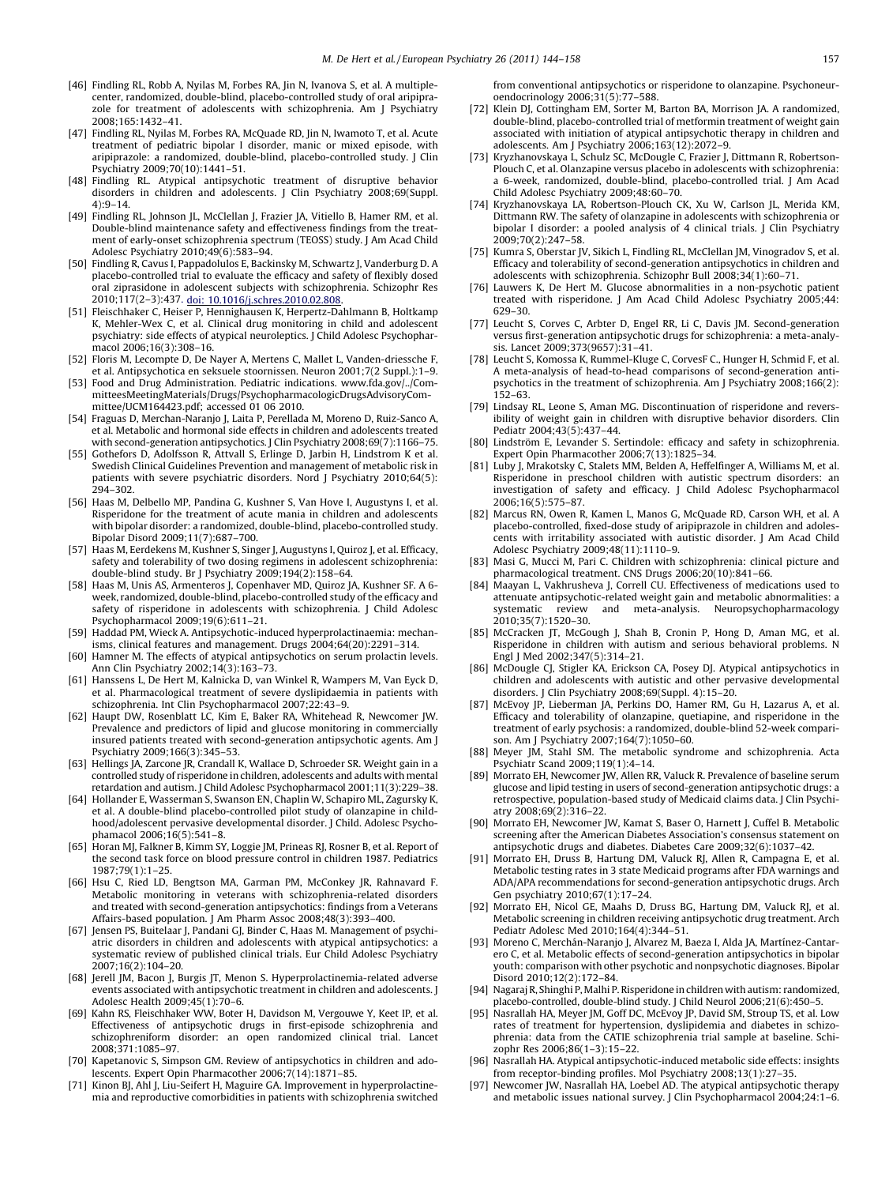- <span id="page-13-0"></span>[46] Findling RL, Robb A, Nyilas M, Forbes RA, Jin N, Ivanova S, et al. A multiplecenter, randomized, double-blind, placebo-controlled study of oral aripiprazole for treatment of adolescents with schizophrenia. Am J Psychiatry 2008;165:1432–41.
- [47] Findling RL, Nyilas M, Forbes RA, McQuade RD, Jin N, Iwamoto T, et al. Acute treatment of pediatric bipolar I disorder, manic or mixed episode, with aripiprazole: a randomized, double-blind, placebo-controlled study. J Clin Psychiatry 2009;70(10):1441–51.
- [48] Findling RL. Atypical antipsychotic treatment of disruptive behavior disorders in children and adolescents. J Clin Psychiatry 2008;69(Suppl. 4):9–14.
- [49] Findling RL, Johnson JL, McClellan J, Frazier JA, Vitiello B, Hamer RM, et al. Double-blind maintenance safety and effectiveness findings from the treatment of early-onset schizophrenia spectrum (TEOSS) study. J Am Acad Child Adolesc Psychiatry 2010;49(6):583–94.
- [50] Findling R, Cavus I, Pappadolulos E, Backinsky M, Schwartz J, Vanderburg D. A placebo-controlled trial to evaluate the efficacy and safety of flexibly dosed oral ziprasidone in adolescent subjects with schizophrenia. Schizophr Res 2010;117(2–3):43[7.](http://dx.doi.org/10.1016/j.schres.2010.02.808) [doi: 10.1016/j.schres.2010.02.808](http://dx.doi.org/10.1016/j.schres.2010.02.808).
- [51] Fleischhaker C, Heiser P, Hennighausen K, Herpertz-Dahlmann B, Holtkamp K, Mehler-Wex C, et al. Clinical drug monitoring in child and adolescent psychiatry: side effects of atypical neuroleptics. J Child Adolesc Psychopharmacol 2006;16(3):308–16.
- [52] Floris M, Lecompte D, De Nayer A, Mertens C, Mallet L, Vanden-driessche F, et al. Antipsychotica en seksuele stoornissen. Neuron 2001;7(2 Suppl.):1–9.
- [53] Food and Drug Administration. Pediatric indications. www.fda.gov/../CommitteesMeetingMaterials/Drugs/PsychopharmacologicDrugsAdvisoryCommittee/UCM164423.pdf; accessed 01 06 2010.
- [54] Fraguas D, Merchan-Naranjo J, Laita P, Perellada M, Moreno D, Ruiz-Sanco A, et al. Metabolic and hormonal side effects in children and adolescents treated with second-generation antipsychotics. J Clin Psychiatry 2008;69(7):1166-75.
- [55] Gothefors D, Adolfsson R, Attvall S, Erlinge D, Jarbin H, Lindstrom K et al. Swedish Clinical Guidelines Prevention and management of metabolic risk in patients with severe psychiatric disorders. Nord J Psychiatry 2010:64(5): .<br>294–302.
- [56] Haas M, Delbello MP, Pandina G, Kushner S, Van Hove I, Augustyns I, et al. Risperidone for the treatment of acute mania in children and adolescents with bipolar disorder: a randomized, double-blind, placebo-controlled study. Bipolar Disord 2009;11(7):687–700.
- [57] Haas M, Eerdekens M, Kushner S, Singer J, Augustyns I, Quiroz J, et al. Efficacy, safety and tolerability of two dosing regimens in adolescent schizophrenia: double-blind study. Br J Psychiatry 2009;194(2):158–64.
- [58] Haas M, Unis AS, Armenteros J, Copenhaver MD, Quiroz JA, Kushner SF. A 6 week, randomized, double-blind, placebo-controlled study of the efficacy and safety of risperidone in adolescents with schizophrenia. J Child Adolesc Psychopharmacol 2009;19(6):611–21.
- [59] Haddad PM, Wieck A. Antipsychotic-induced hyperprolactinaemia: mechanisms, clinical features and management. Drugs 2004;64(20):2291–314.
- [60] Hamner M. The effects of atypical antipsychotics on serum prolactin levels. Ann Clin Psychiatry 2002;14(3):163–73.
- [61] Hanssens L, De Hert M, Kalnicka D, van Winkel R, Wampers M, Van Eyck D, et al. Pharmacological treatment of severe dyslipidaemia in patients with schizophrenia. Int Clin Psychopharmacol 2007;22:43–9.
- [62] Haupt DW, Rosenblatt LC, Kim E, Baker RA, Whitehead R, Newcomer JW. Prevalence and predictors of lipid and glucose monitoring in commercially insured patients treated with second-generation antipsychotic agents. Am J Psychiatry 2009;166(3):345–53.
- [63] Hellings JA, Zarcone JR, Crandall K, Wallace D, Schroeder SR. Weight gain in a controlled study of risperidone in children, adolescents and adults with mental retardation and autism. J Child Adolesc Psychopharmacol 2001;11(3):229–38.
- [64] Hollander E, Wasserman S, Swanson EN, Chaplin W, Schapiro ML, Zagursky K, et al. A double-blind placebo-controlled pilot study of olanzapine in childhood/adolescent pervasive developmental disorder. J Child. Adolesc Psychophamacol 2006;16(5):541–8.
- [65] Horan MJ, Falkner B, Kimm SY, Loggie JM, Prineas RJ, Rosner B, et al. Report of the second task force on blood pressure control in children 1987. Pediatrics 1987;79(1):1–25.
- [66] Hsu C, Ried LD, Bengtson MA, Garman PM, McConkey JR, Rahnavard F. Metabolic monitoring in veterans with schizophrenia-related disorders and treated with second-generation antipsychotics: findings from a Veterans Affairs-based population. J Am Pharm Assoc 2008;48(3):393–400.
- [67] Jensen PS, Buitelaar J, Pandani GJ, Binder C, Haas M. Management of psychiatric disorders in children and adolescents with atypical antipsychotics: a systematic review of published clinical trials. Eur Child Adolesc Psychiatry 2007;16(2):104–20.
- [68] Jerell JM, Bacon J, Burgis JT, Menon S. Hyperprolactinemia-related adverse events associated with antipsychotic treatment in children and adolescents. J Adolesc Health 2009;45(1):70–6.
- [69] Kahn RS, Fleischhaker WW, Boter H, Davidson M, Vergouwe Y, Keet IP, et al. Effectiveness of antipsychotic drugs in first-episode schizophrenia and schizophreniform disorder: an open randomized clinical trial. Lancet 2008;371:1085–97.
- [70] Kapetanovic S, Simpson GM. Review of antipsychotics in children and adolescents. Expert Opin Pharmacother 2006;7(14):1871–85.
- [71] Kinon BJ, Ahl J, Liu-Seifert H, Maguire GA. Improvement in hyperprolactinemia and reproductive comorbidities in patients with schizophrenia switched

from conventional antipsychotics or risperidone to olanzapine. Psychoneuroendocrinology 2006;31(5):77–588.

- [72] Klein DJ, Cottingham EM, Sorter M, Barton BA, Morrison JA. A randomized, double-blind, placebo-controlled trial of metformin treatment of weight gain associated with initiation of atypical antipsychotic therapy in children and adolescents. Am J Psychiatry 2006;163(12):2072–9.
- [73] Kryzhanovskaya L, Schulz SC, McDougle C, Frazier J, Dittmann R, Robertson-Plouch C, et al. Olanzapine versus placebo in adolescents with schizophrenia: a 6-week, randomized, double-blind, placebo-controlled trial. J Am Acad Child Adolesc Psychiatry 2009;48:60–70.
- [74] Kryzhanovskaya LA, Robertson-Plouch CK, Xu W, Carlson JL, Merida KM, Dittmann RW. The safety of olanzapine in adolescents with schizophrenia or bipolar I disorder: a pooled analysis of 4 clinical trials. J Clin Psychiatry 2009;70(2):247–58.
- [75] Kumra S, Oberstar JV, Sikich L, Findling RL, McClellan JM, Vinogradov S, et al. Efficacy and tolerability of second-generation antipsychotics in children and adolescents with schizophrenia. Schizophr Bull 2008;34(1):60–71.
- [76] Lauwers K, De Hert M. Glucose abnormalities in a non-psychotic patient treated with risperidone. J Am Acad Child Adolesc Psychiatry 2005;44: 629–30.
- [77] Leucht S, Corves C, Arbter D, Engel RR, Li C, Davis JM. Second-generation versus first-generation antipsychotic drugs for schizophrenia: a meta-analysis. Lancet 2009;373(9657):31–41.
- [78] Leucht S, Komossa K, Rummel-Kluge C, CorvesF C., Hunger H, Schmid F, et al. A meta-analysis of head-to-head comparisons of second-generation antipsychotics in the treatment of schizophrenia. Am J Psychiatry 2008;166(2):  $152 - 63$ .
- [79] Lindsay RL, Leone S, Aman MG. Discontinuation of risperidone and reversibility of weight gain in children with disruptive behavior disorders. Clin Pediatr 2004;43(5):437–44.
- [80] Lindström E, Levander S. Sertindole: efficacy and safety in schizophrenia. Expert Opin Pharmacother 2006;7(13):1825–34.
- [81] Luby J, Mrakotsky C, Stalets MM, Belden A, Heffelfinger A, Williams M, et al. Risperidone in preschool children with autistic spectrum disorders: an investigation of safety and efficacy. J Child Adolesc Psychopharmacol 2006;16(5):575–87.
- [82] Marcus RN, Owen R, Kamen L, Manos G, McQuade RD, Carson WH, et al. A placebo-controlled, fixed-dose study of aripiprazole in children and adolescents with irritability associated with autistic disorder. J Am Acad Child Adolesc Psychiatry 2009;48(11):1110–9.
- [83] Masi G, Mucci M, Pari C. Children with schizophrenia: clinical picture and pharmacological treatment. CNS Drugs 2006;20(10):841–66.
- [84] Maayan L, Vakhrusheva J, Correll CU. Effectiveness of medications used to attenuate antipsychotic-related weight gain and metabolic abnormalities: a systematic review and meta-analysis. Neuropsychopharmacology 2010;35(7):1520–30.
- [85] McCracken JT, McGough J, Shah B, Cronin P, Hong D, Aman MG, et al. Risperidone in children with autism and serious behavioral problems. N Engl J Med 2002;347(5):314–21.
- [86] McDougle CJ, Stigler KA, Erickson CA, Posey DJ. Atypical antipsychotics in children and adolescents with autistic and other pervasive developmental disorders. J Clin Psychiatry 2008;69(Suppl. 4):15–20.
- McEvoy JP, Lieberman JA, Perkins DO, Hamer RM, Gu H, Lazarus A, et al. Efficacy and tolerability of olanzapine, quetiapine, and risperidone in the treatment of early psychosis: a randomized, double-blind 52-week comparison. Am J Psychiatry 2007;164(7):1050–60.
- [88] Meyer JM, Stahl SM. The metabolic syndrome and schizophrenia. Acta Psychiatr Scand 2009;119(1):4–14.
- [89] Morrato EH, Newcomer JW, Allen RR, Valuck R. Prevalence of baseline serum glucose and lipid testing in users of second-generation antipsychotic drugs: a retrospective, population-based study of Medicaid claims data. J Clin Psychiatry 2008;69(2):316–22.
- [90] Morrato EH, Newcomer JW, Kamat S, Baser O, Harnett J, Cuffel B. Metabolic screening after the American Diabetes Association's consensus statement on antipsychotic drugs and diabetes. Diabetes Care 2009;32(6):1037–42.
- [91] Morrato EH, Druss B, Hartung DM, Valuck RJ, Allen R, Campagna E, et al. Metabolic testing rates in 3 state Medicaid programs after FDA warnings and ADA/APA recommendations for second-generation antipsychotic drugs. Arch Gen psychiatry 2010;67(1):17–24.
- [92] Morrato EH, Nicol GE, Maahs D, Druss BG, Hartung DM, Valuck RJ, et al. Metabolic screening in children receiving antipsychotic drug treatment. Arch Pediatr Adolesc Med 2010;164(4):344–51.
- [93] Moreno C, Merchán-Naranjo J, Alvarez M, Baeza I, Alda JA, Martínez-Cantarero C, et al. Metabolic effects of second-generation antipsychotics in bipolar youth: comparison with other psychotic and nonpsychotic diagnoses. Bipolar Disord 2010;12(2):172–84.
- [94] Nagaraj R, Shinghi P,Malhi P. Risperidone in children with autism: randomized, placebo-controlled, double-blind study. J Child Neurol 2006;21(6):450–5.
- [95] Nasrallah HA, Meyer JM, Goff DC, McEvoy JP, David SM, Stroup TS, et al. Low rates of treatment for hypertension, dyslipidemia and diabetes in schizophrenia: data from the CATIE schizophrenia trial sample at baseline. Schizophr Res 2006;86(1–3):15–22.
- [96] Nasrallah HA. Atypical antipsychotic-induced metabolic side effects: insights from receptor-binding profiles. Mol Psychiatry 2008;13(1):27–35.
- Newcomer JW, Nasrallah HA, Loebel AD. The atypical antipsychotic therapy and metabolic issues national survey. J Clin Psychopharmacol 2004;24:1–6.